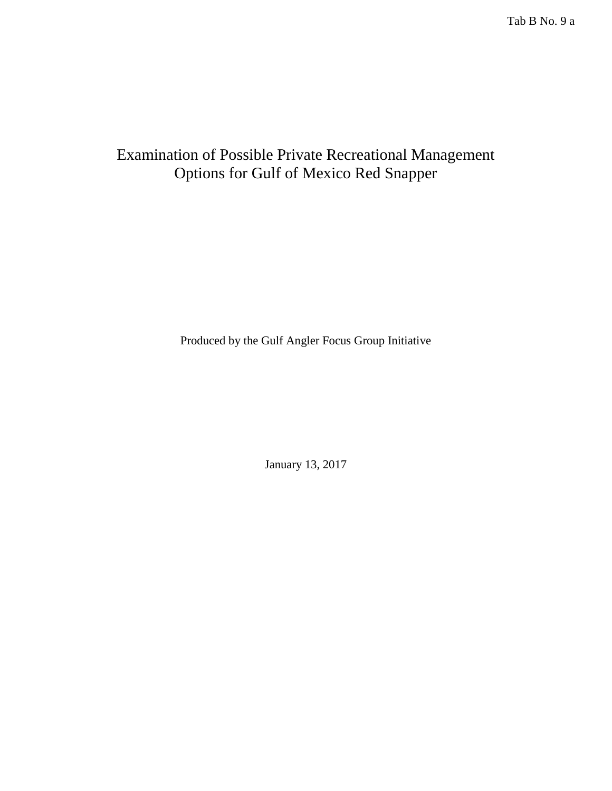Tab B No. 9 a

# Examination of Possible Private Recreational Management Options for Gulf of Mexico Red Snapper

Produced by the Gulf Angler Focus Group Initiative

January 13, 2017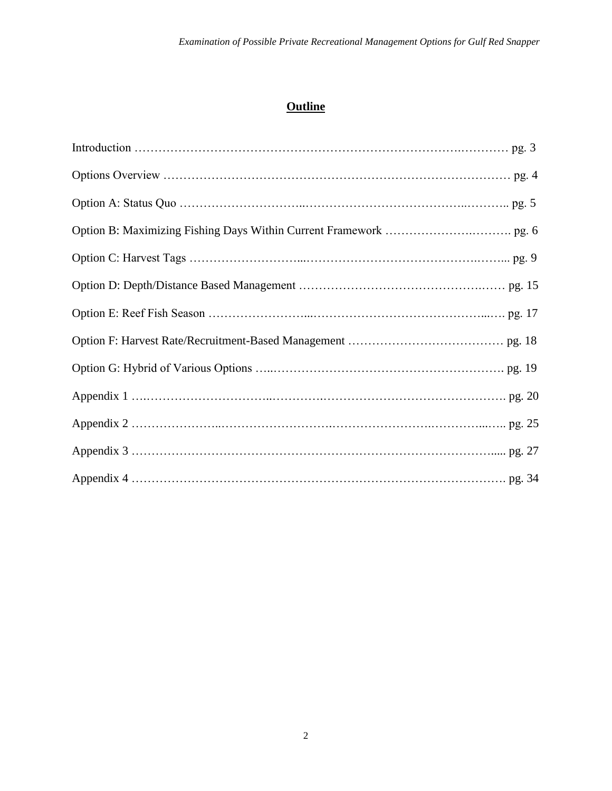# **Outline**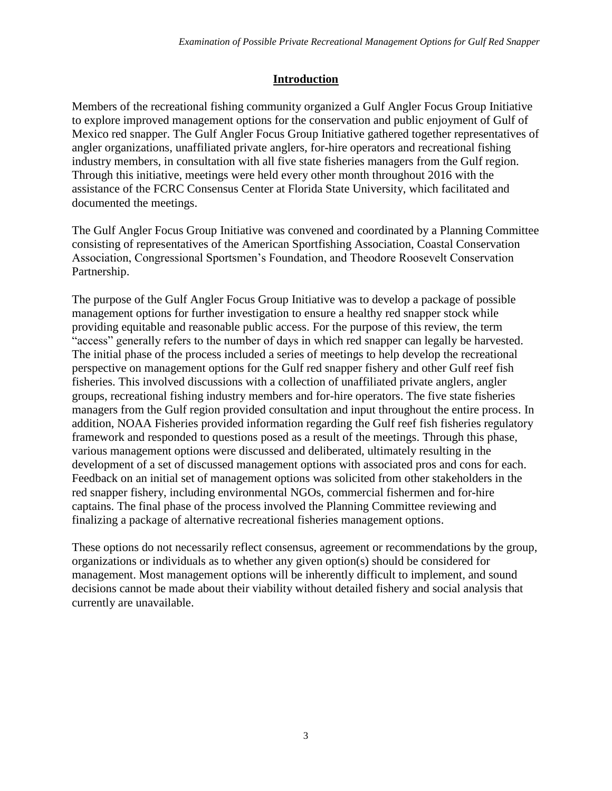## **Introduction**

Members of the recreational fishing community organized a Gulf Angler Focus Group Initiative to explore improved management options for the conservation and public enjoyment of Gulf of Mexico red snapper. The Gulf Angler Focus Group Initiative gathered together representatives of angler organizations, unaffiliated private anglers, for-hire operators and recreational fishing industry members, in consultation with all five state fisheries managers from the Gulf region. Through this initiative, meetings were held every other month throughout 2016 with the assistance of the FCRC Consensus Center at Florida State University, which facilitated and documented the meetings.

The Gulf Angler Focus Group Initiative was convened and coordinated by a Planning Committee consisting of representatives of the American Sportfishing Association, Coastal Conservation Association, Congressional Sportsmen's Foundation, and Theodore Roosevelt Conservation Partnership.

The purpose of the Gulf Angler Focus Group Initiative was to develop a package of possible management options for further investigation to ensure a healthy red snapper stock while providing equitable and reasonable public access. For the purpose of this review, the term "access" generally refers to the number of days in which red snapper can legally be harvested. The initial phase of the process included a series of meetings to help develop the recreational perspective on management options for the Gulf red snapper fishery and other Gulf reef fish fisheries. This involved discussions with a collection of unaffiliated private anglers, angler groups, recreational fishing industry members and for-hire operators. The five state fisheries managers from the Gulf region provided consultation and input throughout the entire process. In addition, NOAA Fisheries provided information regarding the Gulf reef fish fisheries regulatory framework and responded to questions posed as a result of the meetings. Through this phase, various management options were discussed and deliberated, ultimately resulting in the development of a set of discussed management options with associated pros and cons for each. Feedback on an initial set of management options was solicited from other stakeholders in the red snapper fishery, including environmental NGOs, commercial fishermen and for-hire captains. The final phase of the process involved the Planning Committee reviewing and finalizing a package of alternative recreational fisheries management options.

These options do not necessarily reflect consensus, agreement or recommendations by the group, organizations or individuals as to whether any given option(s) should be considered for management. Most management options will be inherently difficult to implement, and sound decisions cannot be made about their viability without detailed fishery and social analysis that currently are unavailable.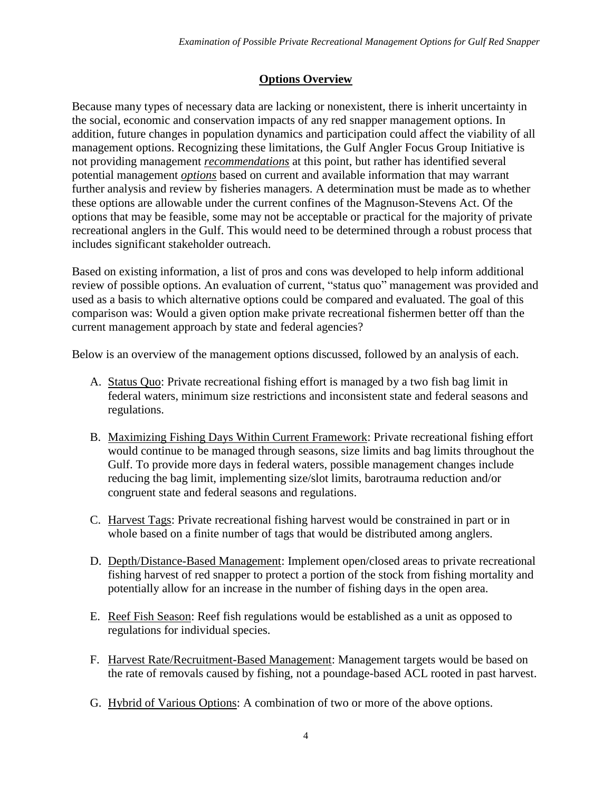# **Options Overview**

Because many types of necessary data are lacking or nonexistent, there is inherit uncertainty in the social, economic and conservation impacts of any red snapper management options. In addition, future changes in population dynamics and participation could affect the viability of all management options. Recognizing these limitations, the Gulf Angler Focus Group Initiative is not providing management *recommendations* at this point, but rather has identified several potential management *options* based on current and available information that may warrant further analysis and review by fisheries managers. A determination must be made as to whether these options are allowable under the current confines of the Magnuson-Stevens Act. Of the options that may be feasible, some may not be acceptable or practical for the majority of private recreational anglers in the Gulf. This would need to be determined through a robust process that includes significant stakeholder outreach.

Based on existing information, a list of pros and cons was developed to help inform additional review of possible options. An evaluation of current, "status quo" management was provided and used as a basis to which alternative options could be compared and evaluated. The goal of this comparison was: Would a given option make private recreational fishermen better off than the current management approach by state and federal agencies?

Below is an overview of the management options discussed, followed by an analysis of each.

- A. Status Quo: Private recreational fishing effort is managed by a two fish bag limit in federal waters, minimum size restrictions and inconsistent state and federal seasons and regulations.
- B. Maximizing Fishing Days Within Current Framework: Private recreational fishing effort would continue to be managed through seasons, size limits and bag limits throughout the Gulf. To provide more days in federal waters, possible management changes include reducing the bag limit, implementing size/slot limits, barotrauma reduction and/or congruent state and federal seasons and regulations.
- C. Harvest Tags: Private recreational fishing harvest would be constrained in part or in whole based on a finite number of tags that would be distributed among anglers.
- D. Depth/Distance-Based Management: Implement open/closed areas to private recreational fishing harvest of red snapper to protect a portion of the stock from fishing mortality and potentially allow for an increase in the number of fishing days in the open area.
- E. Reef Fish Season: Reef fish regulations would be established as a unit as opposed to regulations for individual species.
- F. Harvest Rate/Recruitment-Based Management: Management targets would be based on the rate of removals caused by fishing, not a poundage-based ACL rooted in past harvest.
- G. Hybrid of Various Options: A combination of two or more of the above options.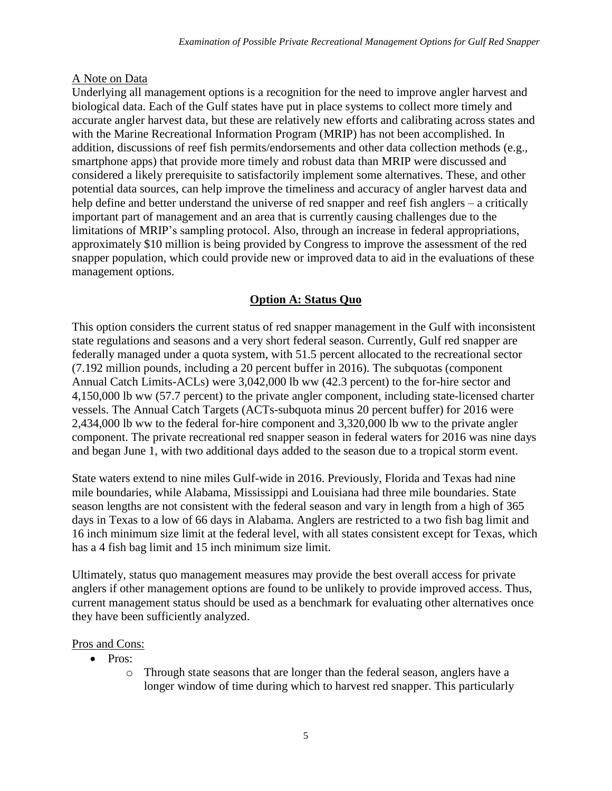### A Note on Data

Underlying all management options is a recognition for the need to improve angler harvest and biological data. Each of the Gulf states have put in place systems to collect more timely and accurate angler harvest data, but these are relatively new efforts and calibrating across states and with the Marine Recreational Information Program (MRIP) has not been accomplished. In addition, discussions of reef fish permits/endorsements and other data collection methods (e.g., smartphone apps) that provide more timely and robust data than MRIP were discussed and considered a likely prerequisite to satisfactorily implement some alternatives. These, and other potential data sources, can help improve the timeliness and accuracy of angler harvest data and help define and better understand the universe of red snapper and reef fish anglers – a critically important part of management and an area that is currently causing challenges due to the limitations of MRIP's sampling protocol. Also, through an increase in federal appropriations, approximately \$10 million is being provided by Congress to improve the assessment of the red snapper population, which could provide new or improved data to aid in the evaluations of these management options.

# **Option A: Status Quo**

This option considers the current status of red snapper management in the Gulf with inconsistent state regulations and seasons and a very short federal season. Currently, Gulf red snapper are federally managed under a quota system, with 51.5 percent allocated to the recreational sector (7.192 million pounds, including a 20 percent buffer in 2016). The subquotas (component Annual Catch Limits-ACLs) were 3,042,000 lb ww (42.3 percent) to the for-hire sector and 4,150,000 lb ww (57.7 percent) to the private angler component, including state-licensed charter vessels. The Annual Catch Targets (ACTs-subquota minus 20 percent buffer) for 2016 were 2,434,000 lb ww to the federal for-hire component and 3,320,000 lb ww to the private angler component. The private recreational red snapper season in federal waters for 2016 was nine days and began June 1, with two additional days added to the season due to a tropical storm event.

State waters extend to nine miles Gulf-wide in 2016. Previously, Florida and Texas had nine mile boundaries, while Alabama, Mississippi and Louisiana had three mile boundaries. State season lengths are not consistent with the federal season and vary in length from a high of 365 days in Texas to a low of 66 days in Alabama. Anglers are restricted to a two fish bag limit and 16 inch minimum size limit at the federal level, with all states consistent except for Texas, which has a 4 fish bag limit and 15 inch minimum size limit.

Ultimately, status quo management measures may provide the best overall access for private anglers if other management options are found to be unlikely to provide improved access. Thus, current management status should be used as a benchmark for evaluating other alternatives once they have been sufficiently analyzed.

#### Pros and Cons:

- Pros:
	- o Through state seasons that are longer than the federal season, anglers have a longer window of time during which to harvest red snapper. This particularly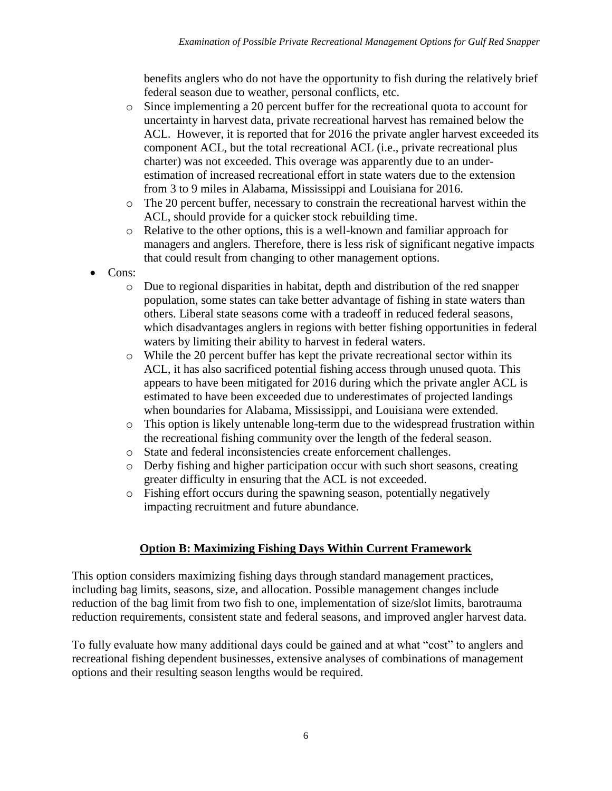benefits anglers who do not have the opportunity to fish during the relatively brief federal season due to weather, personal conflicts, etc.

- o Since implementing a 20 percent buffer for the recreational quota to account for uncertainty in harvest data, private recreational harvest has remained below the ACL. However, it is reported that for 2016 the private angler harvest exceeded its component ACL, but the total recreational ACL (i.e., private recreational plus charter) was not exceeded. This overage was apparently due to an underestimation of increased recreational effort in state waters due to the extension from 3 to 9 miles in Alabama, Mississippi and Louisiana for 2016.
- o The 20 percent buffer, necessary to constrain the recreational harvest within the ACL, should provide for a quicker stock rebuilding time.
- o Relative to the other options, this is a well-known and familiar approach for managers and anglers. Therefore, there is less risk of significant negative impacts that could result from changing to other management options.
- Cons:
	- o Due to regional disparities in habitat, depth and distribution of the red snapper population, some states can take better advantage of fishing in state waters than others. Liberal state seasons come with a tradeoff in reduced federal seasons, which disadvantages anglers in regions with better fishing opportunities in federal waters by limiting their ability to harvest in federal waters.
	- o While the 20 percent buffer has kept the private recreational sector within its ACL, it has also sacrificed potential fishing access through unused quota. This appears to have been mitigated for 2016 during which the private angler ACL is estimated to have been exceeded due to underestimates of projected landings when boundaries for Alabama, Mississippi, and Louisiana were extended.
	- o This option is likely untenable long-term due to the widespread frustration within the recreational fishing community over the length of the federal season.
	- o State and federal inconsistencies create enforcement challenges.
	- o Derby fishing and higher participation occur with such short seasons, creating greater difficulty in ensuring that the ACL is not exceeded.
	- o Fishing effort occurs during the spawning season, potentially negatively impacting recruitment and future abundance.

## **Option B: Maximizing Fishing Days Within Current Framework**

This option considers maximizing fishing days through standard management practices, including bag limits, seasons, size, and allocation. Possible management changes include reduction of the bag limit from two fish to one, implementation of size/slot limits, barotrauma reduction requirements, consistent state and federal seasons, and improved angler harvest data.

To fully evaluate how many additional days could be gained and at what "cost" to anglers and recreational fishing dependent businesses, extensive analyses of combinations of management options and their resulting season lengths would be required.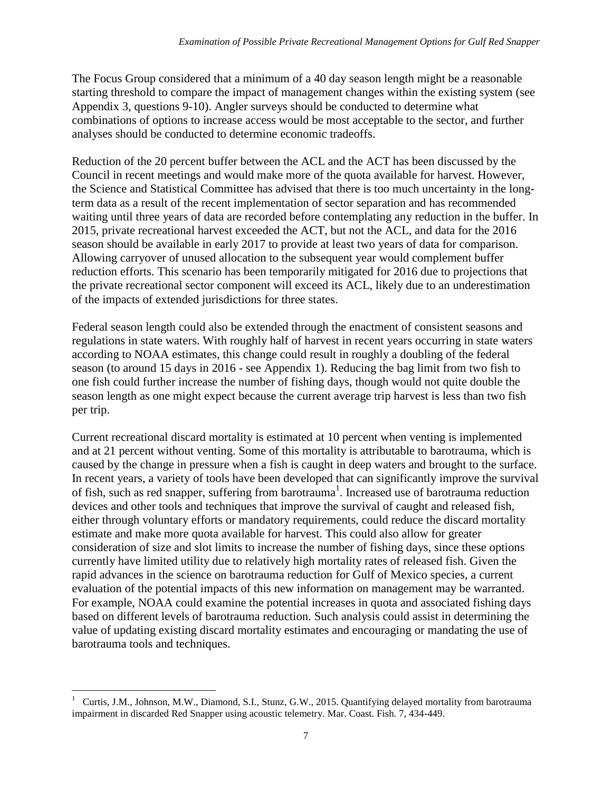The Focus Group considered that a minimum of a 40 day season length might be a reasonable starting threshold to compare the impact of management changes within the existing system (see Appendix 3, questions 9-10). Angler surveys should be conducted to determine what combinations of options to increase access would be most acceptable to the sector, and further analyses should be conducted to determine economic tradeoffs.

Reduction of the 20 percent buffer between the ACL and the ACT has been discussed by the Council in recent meetings and would make more of the quota available for harvest. However, the Science and Statistical Committee has advised that there is too much uncertainty in the longterm data as a result of the recent implementation of sector separation and has recommended waiting until three years of data are recorded before contemplating any reduction in the buffer. In 2015, private recreational harvest exceeded the ACT, but not the ACL, and data for the 2016 season should be available in early 2017 to provide at least two years of data for comparison. Allowing carryover of unused allocation to the subsequent year would complement buffer reduction efforts. This scenario has been temporarily mitigated for 2016 due to projections that the private recreational sector component will exceed its ACL, likely due to an underestimation of the impacts of extended jurisdictions for three states.

Federal season length could also be extended through the enactment of consistent seasons and regulations in state waters. With roughly half of harvest in recent years occurring in state waters according to NOAA estimates, this change could result in roughly a doubling of the federal season (to around 15 days in 2016 - see Appendix 1). Reducing the bag limit from two fish to one fish could further increase the number of fishing days, though would not quite double the season length as one might expect because the current average trip harvest is less than two fish per trip.

Current recreational discard mortality is estimated at 10 percent when venting is implemented and at 21 percent without venting. Some of this mortality is attributable to barotrauma, which is caused by the change in pressure when a fish is caught in deep waters and brought to the surface. In recent years, a variety of tools have been developed that can significantly improve the survival of fish, such as red snapper, suffering from barotrauma<sup>1</sup>. Increased use of barotrauma reduction devices and other tools and techniques that improve the survival of caught and released fish, either through voluntary efforts or mandatory requirements, could reduce the discard mortality estimate and make more quota available for harvest. This could also allow for greater consideration of size and slot limits to increase the number of fishing days, since these options currently have limited utility due to relatively high mortality rates of released fish. Given the rapid advances in the science on barotrauma reduction for Gulf of Mexico species, a current evaluation of the potential impacts of this new information on management may be warranted. For example, NOAA could examine the potential increases in quota and associated fishing days based on different levels of barotrauma reduction. Such analysis could assist in determining the value of updating existing discard mortality estimates and encouraging or mandating the use of barotrauma tools and techniques.

 $\overline{\phantom{a}}$ 1 Curtis, J.M., Johnson, M.W., Diamond, S.I., Stunz, G.W., 2015. Quantifying delayed mortality from barotrauma impairment in discarded Red Snapper using acoustic telemetry. Mar. Coast. Fish. 7, 434-449.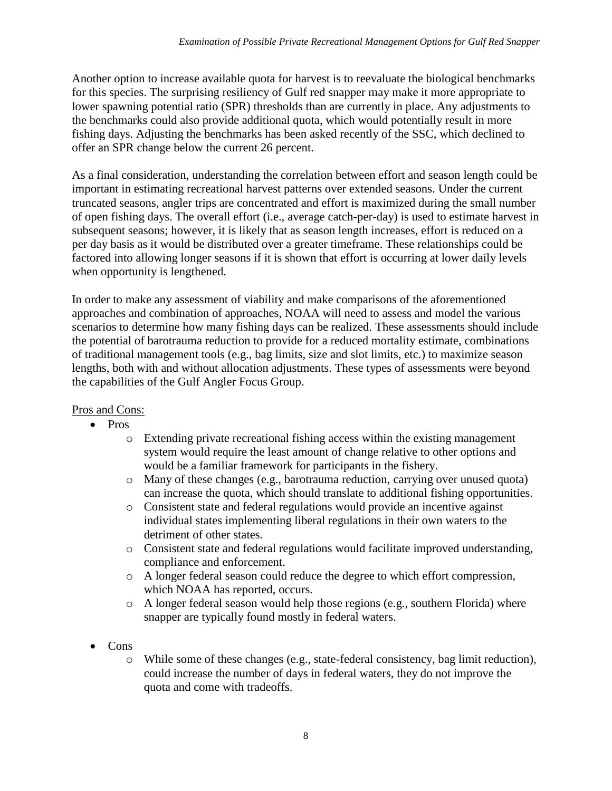Another option to increase available quota for harvest is to reevaluate the biological benchmarks for this species. The surprising resiliency of Gulf red snapper may make it more appropriate to lower spawning potential ratio (SPR) thresholds than are currently in place. Any adjustments to the benchmarks could also provide additional quota, which would potentially result in more fishing days. Adjusting the benchmarks has been asked recently of the SSC, which declined to offer an SPR change below the current 26 percent.

As a final consideration, understanding the correlation between effort and season length could be important in estimating recreational harvest patterns over extended seasons. Under the current truncated seasons, angler trips are concentrated and effort is maximized during the small number of open fishing days. The overall effort (i.e., average catch-per-day) is used to estimate harvest in subsequent seasons; however, it is likely that as season length increases, effort is reduced on a per day basis as it would be distributed over a greater timeframe. These relationships could be factored into allowing longer seasons if it is shown that effort is occurring at lower daily levels when opportunity is lengthened.

In order to make any assessment of viability and make comparisons of the aforementioned approaches and combination of approaches, NOAA will need to assess and model the various scenarios to determine how many fishing days can be realized. These assessments should include the potential of barotrauma reduction to provide for a reduced mortality estimate, combinations of traditional management tools (e.g., bag limits, size and slot limits, etc.) to maximize season lengths, both with and without allocation adjustments. These types of assessments were beyond the capabilities of the Gulf Angler Focus Group.

## Pros and Cons:

- Pros
	- o Extending private recreational fishing access within the existing management system would require the least amount of change relative to other options and would be a familiar framework for participants in the fishery.
	- o Many of these changes (e.g., barotrauma reduction, carrying over unused quota) can increase the quota, which should translate to additional fishing opportunities.
	- o Consistent state and federal regulations would provide an incentive against individual states implementing liberal regulations in their own waters to the detriment of other states.
	- o Consistent state and federal regulations would facilitate improved understanding, compliance and enforcement.
	- o A longer federal season could reduce the degree to which effort compression, which NOAA has reported, occurs.
	- o A longer federal season would help those regions (e.g., southern Florida) where snapper are typically found mostly in federal waters.
- Cons
	- o While some of these changes (e.g., state-federal consistency, bag limit reduction), could increase the number of days in federal waters, they do not improve the quota and come with tradeoffs.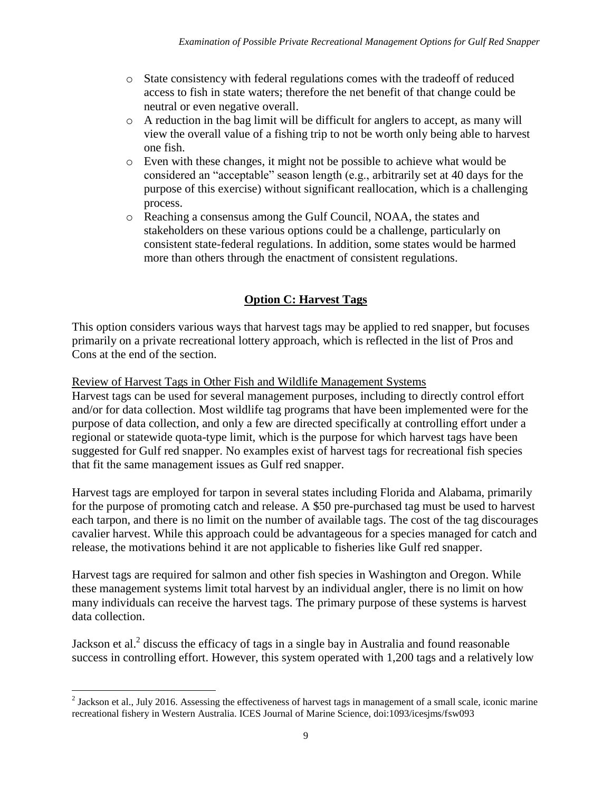- o State consistency with federal regulations comes with the tradeoff of reduced access to fish in state waters; therefore the net benefit of that change could be neutral or even negative overall.
- $\circ$  A reduction in the bag limit will be difficult for anglers to accept, as many will view the overall value of a fishing trip to not be worth only being able to harvest one fish.
- o Even with these changes, it might not be possible to achieve what would be considered an "acceptable" season length (e.g., arbitrarily set at 40 days for the purpose of this exercise) without significant reallocation, which is a challenging process.
- o Reaching a consensus among the Gulf Council, NOAA, the states and stakeholders on these various options could be a challenge, particularly on consistent state-federal regulations. In addition, some states would be harmed more than others through the enactment of consistent regulations.

# **Option C: Harvest Tags**

This option considers various ways that harvest tags may be applied to red snapper, but focuses primarily on a private recreational lottery approach, which is reflected in the list of Pros and Cons at the end of the section.

Review of Harvest Tags in Other Fish and Wildlife Management Systems

Harvest tags can be used for several management purposes, including to directly control effort and/or for data collection. Most wildlife tag programs that have been implemented were for the purpose of data collection, and only a few are directed specifically at controlling effort under a regional or statewide quota-type limit, which is the purpose for which harvest tags have been suggested for Gulf red snapper. No examples exist of harvest tags for recreational fish species that fit the same management issues as Gulf red snapper.

Harvest tags are employed for tarpon in several states including Florida and Alabama, primarily for the purpose of promoting catch and release. A \$50 pre-purchased tag must be used to harvest each tarpon, and there is no limit on the number of available tags. The cost of the tag discourages cavalier harvest. While this approach could be advantageous for a species managed for catch and release, the motivations behind it are not applicable to fisheries like Gulf red snapper.

Harvest tags are required for salmon and other fish species in Washington and Oregon. While these management systems limit total harvest by an individual angler, there is no limit on how many individuals can receive the harvest tags. The primary purpose of these systems is harvest data collection.

Jackson et al.<sup>2</sup> discuss the efficacy of tags in a single bay in Australia and found reasonable success in controlling effort. However, this system operated with 1,200 tags and a relatively low

<sup>&</sup>lt;sup>2</sup> Jackson et al., July 2016. Assessing the effectiveness of harvest tags in management of a small scale, iconic marine recreational fishery in Western Australia. ICES Journal of Marine Science, doi:1093/icesjms/fsw093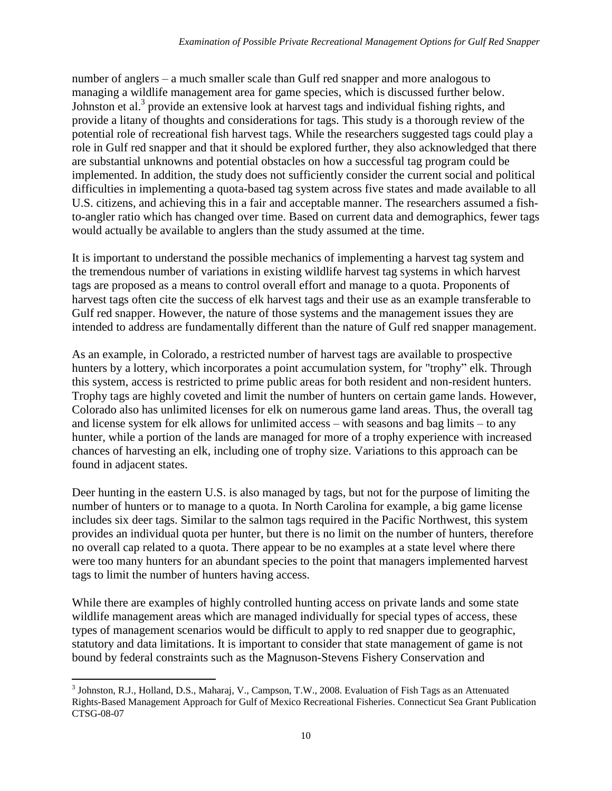number of anglers – a much smaller scale than Gulf red snapper and more analogous to managing a wildlife management area for game species, which is discussed further below. Johnston et al.<sup>3</sup> provide an extensive look at harvest tags and individual fishing rights, and provide a litany of thoughts and considerations for tags. This study is a thorough review of the potential role of recreational fish harvest tags. While the researchers suggested tags could play a role in Gulf red snapper and that it should be explored further, they also acknowledged that there are substantial unknowns and potential obstacles on how a successful tag program could be implemented. In addition, the study does not sufficiently consider the current social and political difficulties in implementing a quota-based tag system across five states and made available to all U.S. citizens, and achieving this in a fair and acceptable manner. The researchers assumed a fishto-angler ratio which has changed over time. Based on current data and demographics, fewer tags would actually be available to anglers than the study assumed at the time.

It is important to understand the possible mechanics of implementing a harvest tag system and the tremendous number of variations in existing wildlife harvest tag systems in which harvest tags are proposed as a means to control overall effort and manage to a quota. Proponents of harvest tags often cite the success of elk harvest tags and their use as an example transferable to Gulf red snapper. However, the nature of those systems and the management issues they are intended to address are fundamentally different than the nature of Gulf red snapper management.

As an example, in Colorado, a restricted number of harvest tags are available to prospective hunters by a lottery, which incorporates a point accumulation system, for "trophy" elk. Through this system, access is restricted to prime public areas for both resident and non-resident hunters. Trophy tags are highly coveted and limit the number of hunters on certain game lands. However, Colorado also has unlimited licenses for elk on numerous game land areas. Thus, the overall tag and license system for elk allows for unlimited access – with seasons and bag limits – to any hunter, while a portion of the lands are managed for more of a trophy experience with increased chances of harvesting an elk, including one of trophy size. Variations to this approach can be found in adjacent states.

Deer hunting in the eastern U.S. is also managed by tags, but not for the purpose of limiting the number of hunters or to manage to a quota. In North Carolina for example, a big game license includes six deer tags. Similar to the salmon tags required in the Pacific Northwest, this system provides an individual quota per hunter, but there is no limit on the number of hunters, therefore no overall cap related to a quota. There appear to be no examples at a state level where there were too many hunters for an abundant species to the point that managers implemented harvest tags to limit the number of hunters having access.

While there are examples of highly controlled hunting access on private lands and some state wildlife management areas which are managed individually for special types of access, these types of management scenarios would be difficult to apply to red snapper due to geographic, statutory and data limitations. It is important to consider that state management of game is not bound by federal constraints such as the Magnuson-Stevens Fishery Conservation and

 $\overline{\phantom{a}}$ <sup>3</sup> Johnston, R.J., Holland, D.S., Maharaj, V., Campson, T.W., 2008. Evaluation of Fish Tags as an Attenuated Rights-Based Management Approach for Gulf of Mexico Recreational Fisheries. Connecticut Sea Grant Publication CTSG-08-07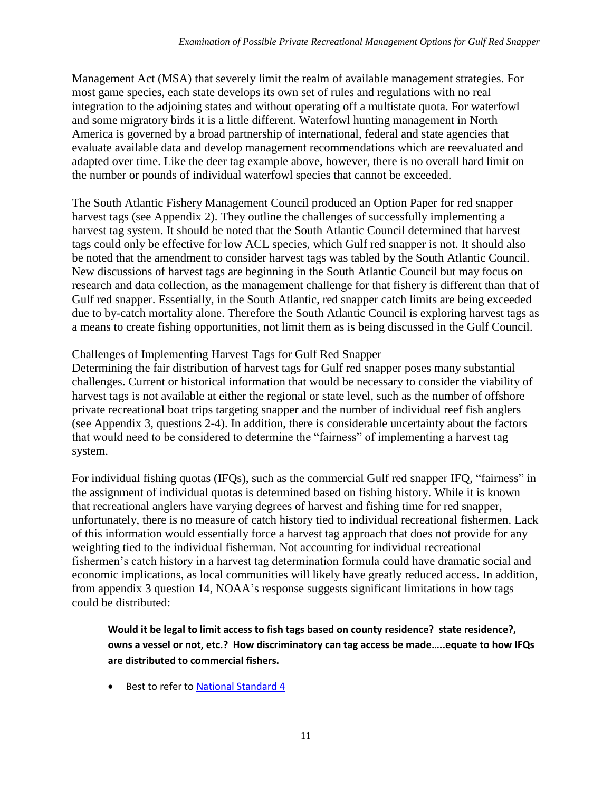Management Act (MSA) that severely limit the realm of available management strategies. For most game species, each state develops its own set of rules and regulations with no real integration to the adjoining states and without operating off a multistate quota. For waterfowl and some migratory birds it is a little different. Waterfowl hunting management in North America is governed by a broad partnership of international, federal and state agencies that evaluate available data and develop management recommendations which are reevaluated and adapted over time. Like the deer tag example above, however, there is no overall hard limit on the number or pounds of individual waterfowl species that cannot be exceeded.

The South Atlantic Fishery Management Council produced an Option Paper for red snapper harvest tags (see Appendix 2). They outline the challenges of successfully implementing a harvest tag system. It should be noted that the South Atlantic Council determined that harvest tags could only be effective for low ACL species, which Gulf red snapper is not. It should also be noted that the amendment to consider harvest tags was tabled by the South Atlantic Council. New discussions of harvest tags are beginning in the South Atlantic Council but may focus on research and data collection, as the management challenge for that fishery is different than that of Gulf red snapper. Essentially, in the South Atlantic, red snapper catch limits are being exceeded due to by-catch mortality alone. Therefore the South Atlantic Council is exploring harvest tags as a means to create fishing opportunities, not limit them as is being discussed in the Gulf Council.

### Challenges of Implementing Harvest Tags for Gulf Red Snapper

Determining the fair distribution of harvest tags for Gulf red snapper poses many substantial challenges. Current or historical information that would be necessary to consider the viability of harvest tags is not available at either the regional or state level, such as the number of offshore private recreational boat trips targeting snapper and the number of individual reef fish anglers (see Appendix 3, questions 2-4). In addition, there is considerable uncertainty about the factors that would need to be considered to determine the "fairness" of implementing a harvest tag system.

For individual fishing quotas (IFQs), such as the commercial Gulf red snapper IFQ, "fairness" in the assignment of individual quotas is determined based on fishing history. While it is known that recreational anglers have varying degrees of harvest and fishing time for red snapper, unfortunately, there is no measure of catch history tied to individual recreational fishermen. Lack of this information would essentially force a harvest tag approach that does not provide for any weighting tied to the individual fisherman. Not accounting for individual recreational fishermen's catch history in a harvest tag determination formula could have dramatic social and economic implications, as local communities will likely have greatly reduced access. In addition, from appendix 3 question 14, NOAA's response suggests significant limitations in how tags could be distributed:

Would it be legal to limit access to fish tags based on county residence? state residence?, **owns a vessel or not, etc.? How discriminatory can tag access be made…..equate to how IFQs are distributed to commercial fishers.**

• Best to refer to [National Standard 4](http://www.fisheries.noaa.gov/sfa/laws_policies/national_standards/documents/national_standard_4_cfr.pdf)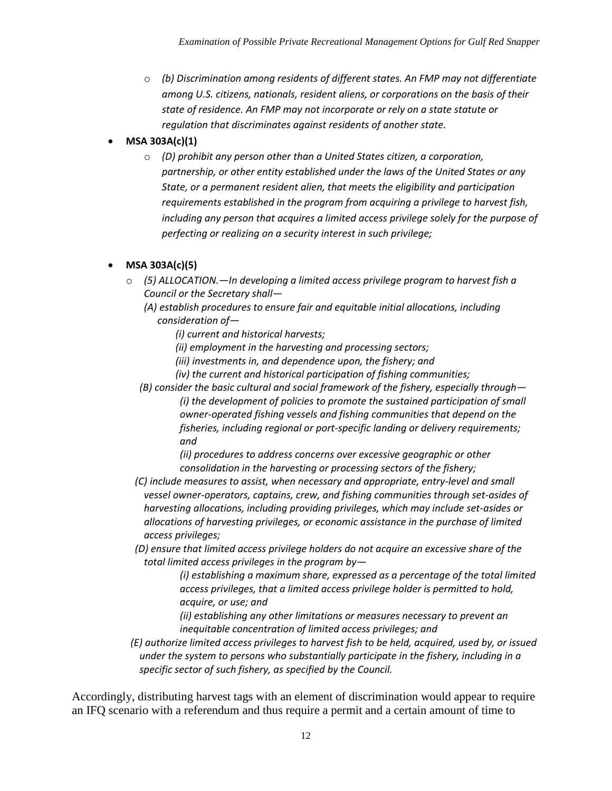o *(b) Discrimination among residents of different states. An FMP may not differentiate among U.S. citizens, nationals, resident aliens, or corporations on the basis of their state of residence. An FMP may not incorporate or rely on a state statute or regulation that discriminates against residents of another state.*

# **MSA 303A(c)(1)**

o *(D) prohibit any person other than a United States citizen, a corporation, partnership, or other entity established under the laws of the United States or any State, or a permanent resident alien, that meets the eligibility and participation requirements established in the program from acquiring a privilege to harvest fish, including any person that acquires a limited access privilege solely for the purpose of perfecting or realizing on a security interest in such privilege;* 

# **MSA 303A(c)(5)**

o *(5) ALLOCATION.—In developing a limited access privilege program to harvest fish a Council or the Secretary shall—*

*(A) establish procedures to ensure fair and equitable initial allocations, including consideration of—*

- *(i) current and historical harvests;*
- *(ii) employment in the harvesting and processing sectors;*
- *(iii) investments in, and dependence upon, the fishery; and*
- *(iv) the current and historical participation of fishing communities;*
- *(B) consider the basic cultural and social framework of the fishery, especially through— (i) the development of policies to promote the sustained participation of small owner-operated fishing vessels and fishing communities that depend on the fisheries, including regional or port-specific landing or delivery requirements; and*

*(ii) procedures to address concerns over excessive geographic or other consolidation in the harvesting or processing sectors of the fishery;* 

- *(C) include measures to assist, when necessary and appropriate, entry-level and small vessel owner-operators, captains, crew, and fishing communities through set-asides of harvesting allocations, including providing privileges, which may include set-asides or allocations of harvesting privileges, or economic assistance in the purchase of limited access privileges;*
- *(D) ensure that limited access privilege holders do not acquire an excessive share of the total limited access privileges in the program by—*

*(i) establishing a maximum share, expressed as a percentage of the total limited access privileges, that a limited access privilege holder is permitted to hold, acquire, or use; and* 

*(ii) establishing any other limitations or measures necessary to prevent an inequitable concentration of limited access privileges; and* 

*(E) authorize limited access privileges to harvest fish to be held, acquired, used by, or issued under the system to persons who substantially participate in the fishery, including in a specific sector of such fishery, as specified by the Council.* 

Accordingly, distributing harvest tags with an element of discrimination would appear to require an IFQ scenario with a referendum and thus require a permit and a certain amount of time to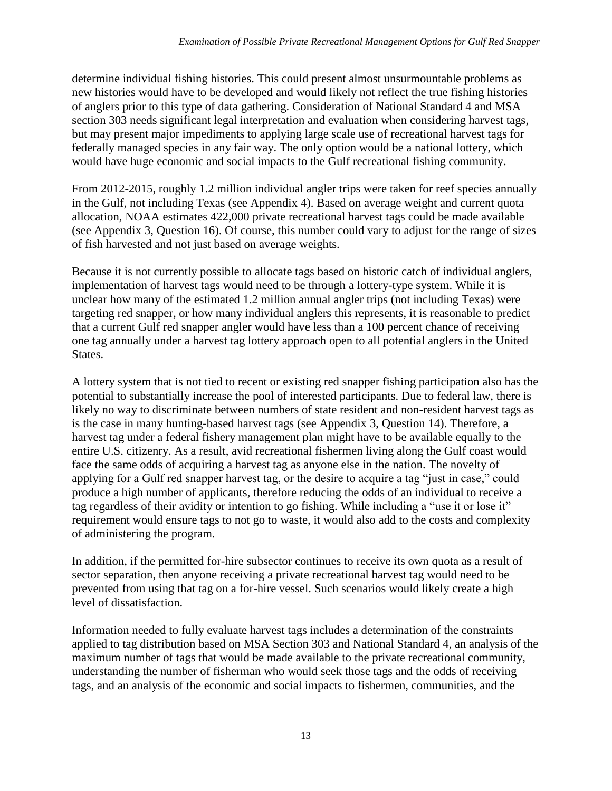determine individual fishing histories. This could present almost unsurmountable problems as new histories would have to be developed and would likely not reflect the true fishing histories of anglers prior to this type of data gathering. Consideration of National Standard 4 and MSA section 303 needs significant legal interpretation and evaluation when considering harvest tags, but may present major impediments to applying large scale use of recreational harvest tags for federally managed species in any fair way. The only option would be a national lottery, which would have huge economic and social impacts to the Gulf recreational fishing community.

From 2012-2015, roughly 1.2 million individual angler trips were taken for reef species annually in the Gulf, not including Texas (see Appendix 4). Based on average weight and current quota allocation, NOAA estimates 422,000 private recreational harvest tags could be made available (see Appendix 3, Question 16). Of course, this number could vary to adjust for the range of sizes of fish harvested and not just based on average weights.

Because it is not currently possible to allocate tags based on historic catch of individual anglers, implementation of harvest tags would need to be through a lottery-type system. While it is unclear how many of the estimated 1.2 million annual angler trips (not including Texas) were targeting red snapper, or how many individual anglers this represents, it is reasonable to predict that a current Gulf red snapper angler would have less than a 100 percent chance of receiving one tag annually under a harvest tag lottery approach open to all potential anglers in the United States.

A lottery system that is not tied to recent or existing red snapper fishing participation also has the potential to substantially increase the pool of interested participants. Due to federal law, there is likely no way to discriminate between numbers of state resident and non-resident harvest tags as is the case in many hunting-based harvest tags (see Appendix 3, Question 14). Therefore, a harvest tag under a federal fishery management plan might have to be available equally to the entire U.S. citizenry. As a result, avid recreational fishermen living along the Gulf coast would face the same odds of acquiring a harvest tag as anyone else in the nation. The novelty of applying for a Gulf red snapper harvest tag, or the desire to acquire a tag "just in case," could produce a high number of applicants, therefore reducing the odds of an individual to receive a tag regardless of their avidity or intention to go fishing. While including a "use it or lose it" requirement would ensure tags to not go to waste, it would also add to the costs and complexity of administering the program.

In addition, if the permitted for-hire subsector continues to receive its own quota as a result of sector separation, then anyone receiving a private recreational harvest tag would need to be prevented from using that tag on a for-hire vessel. Such scenarios would likely create a high level of dissatisfaction.

Information needed to fully evaluate harvest tags includes a determination of the constraints applied to tag distribution based on MSA Section 303 and National Standard 4, an analysis of the maximum number of tags that would be made available to the private recreational community, understanding the number of fisherman who would seek those tags and the odds of receiving tags, and an analysis of the economic and social impacts to fishermen, communities, and the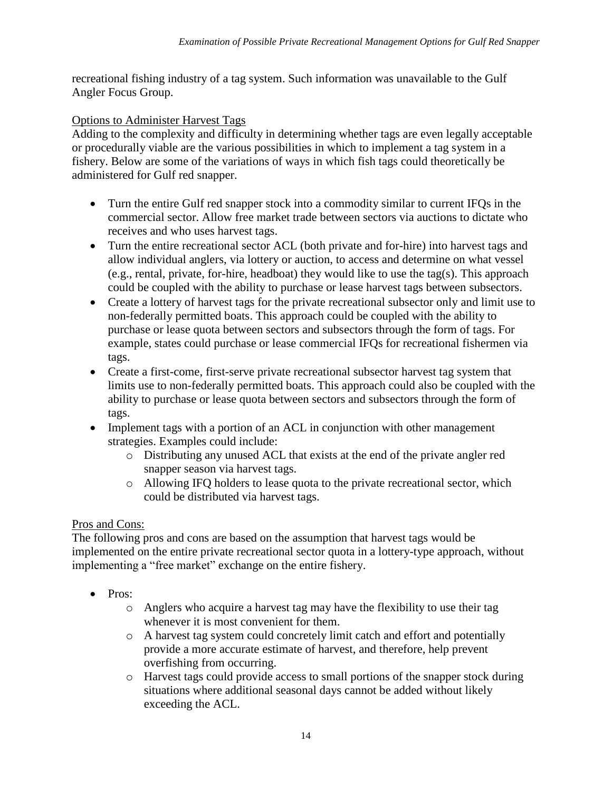recreational fishing industry of a tag system. Such information was unavailable to the Gulf Angler Focus Group.

# Options to Administer Harvest Tags

Adding to the complexity and difficulty in determining whether tags are even legally acceptable or procedurally viable are the various possibilities in which to implement a tag system in a fishery. Below are some of the variations of ways in which fish tags could theoretically be administered for Gulf red snapper.

- Turn the entire Gulf red snapper stock into a commodity similar to current IFQs in the commercial sector. Allow free market trade between sectors via auctions to dictate who receives and who uses harvest tags.
- Turn the entire recreational sector ACL (both private and for-hire) into harvest tags and allow individual anglers, via lottery or auction, to access and determine on what vessel (e.g., rental, private, for-hire, headboat) they would like to use the tag(s). This approach could be coupled with the ability to purchase or lease harvest tags between subsectors.
- Create a lottery of harvest tags for the private recreational subsector only and limit use to non-federally permitted boats. This approach could be coupled with the ability to purchase or lease quota between sectors and subsectors through the form of tags. For example, states could purchase or lease commercial IFQs for recreational fishermen via tags.
- Create a first-come, first-serve private recreational subsector harvest tag system that limits use to non-federally permitted boats. This approach could also be coupled with the ability to purchase or lease quota between sectors and subsectors through the form of tags.
- Implement tags with a portion of an ACL in conjunction with other management strategies. Examples could include:
	- o Distributing any unused ACL that exists at the end of the private angler red snapper season via harvest tags.
	- o Allowing IFQ holders to lease quota to the private recreational sector, which could be distributed via harvest tags.

# Pros and Cons:

The following pros and cons are based on the assumption that harvest tags would be implemented on the entire private recreational sector quota in a lottery-type approach, without implementing a "free market" exchange on the entire fishery.

- Pros:
	- o Anglers who acquire a harvest tag may have the flexibility to use their tag whenever it is most convenient for them.
	- o A harvest tag system could concretely limit catch and effort and potentially provide a more accurate estimate of harvest, and therefore, help prevent overfishing from occurring.
	- o Harvest tags could provide access to small portions of the snapper stock during situations where additional seasonal days cannot be added without likely exceeding the ACL.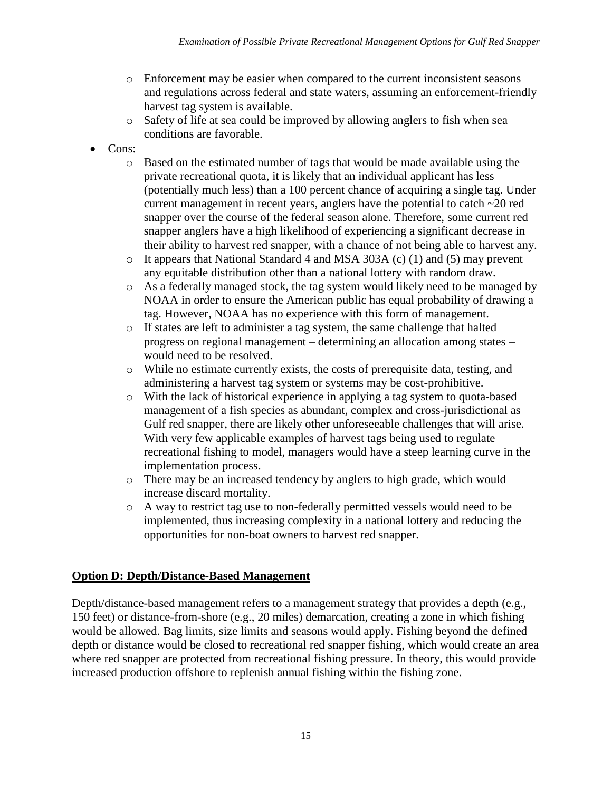- o Enforcement may be easier when compared to the current inconsistent seasons and regulations across federal and state waters, assuming an enforcement-friendly harvest tag system is available.
- o Safety of life at sea could be improved by allowing anglers to fish when sea conditions are favorable.
- Cons:
	- o Based on the estimated number of tags that would be made available using the private recreational quota, it is likely that an individual applicant has less (potentially much less) than a 100 percent chance of acquiring a single tag. Under current management in recent years, anglers have the potential to catch ~20 red snapper over the course of the federal season alone. Therefore, some current red snapper anglers have a high likelihood of experiencing a significant decrease in their ability to harvest red snapper, with a chance of not being able to harvest any.
	- o It appears that National Standard 4 and MSA 303A (c) (1) and (5) may prevent any equitable distribution other than a national lottery with random draw.
	- o As a federally managed stock, the tag system would likely need to be managed by NOAA in order to ensure the American public has equal probability of drawing a tag. However, NOAA has no experience with this form of management.
	- o If states are left to administer a tag system, the same challenge that halted progress on regional management – determining an allocation among states – would need to be resolved.
	- o While no estimate currently exists, the costs of prerequisite data, testing, and administering a harvest tag system or systems may be cost-prohibitive.
	- o With the lack of historical experience in applying a tag system to quota-based management of a fish species as abundant, complex and cross-jurisdictional as Gulf red snapper, there are likely other unforeseeable challenges that will arise. With very few applicable examples of harvest tags being used to regulate recreational fishing to model, managers would have a steep learning curve in the implementation process.
	- o There may be an increased tendency by anglers to high grade, which would increase discard mortality.
	- o A way to restrict tag use to non-federally permitted vessels would need to be implemented, thus increasing complexity in a national lottery and reducing the opportunities for non-boat owners to harvest red snapper.

## **Option D: Depth/Distance-Based Management**

Depth/distance-based management refers to a management strategy that provides a depth (e.g., 150 feet) or distance-from-shore (e.g., 20 miles) demarcation, creating a zone in which fishing would be allowed. Bag limits, size limits and seasons would apply. Fishing beyond the defined depth or distance would be closed to recreational red snapper fishing, which would create an area where red snapper are protected from recreational fishing pressure. In theory, this would provide increased production offshore to replenish annual fishing within the fishing zone.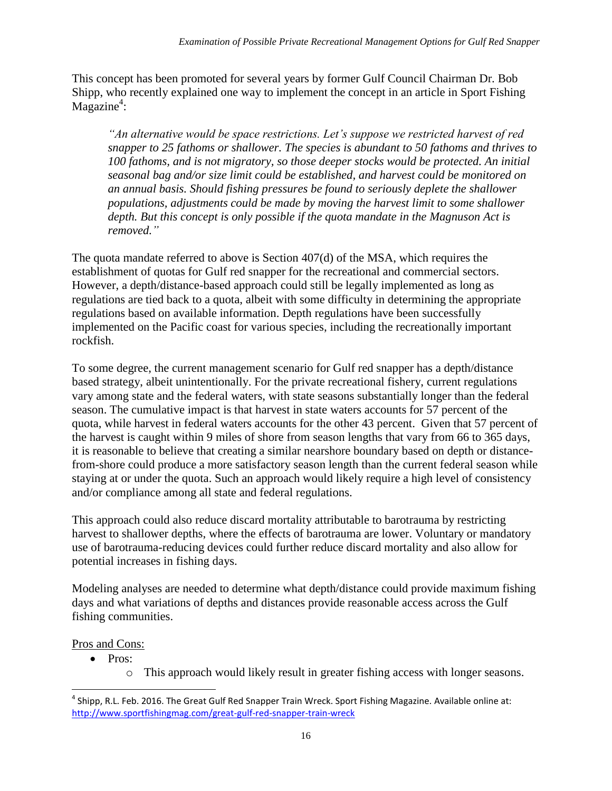This concept has been promoted for several years by former Gulf Council Chairman Dr. Bob Shipp, who recently explained one way to implement the concept in an article in Sport Fishing  $M$ agazine<sup>4</sup>:

*"An alternative would be space restrictions. Let's suppose we restricted harvest of red snapper to 25 fathoms or shallower. The species is abundant to 50 fathoms and thrives to 100 fathoms, and is not migratory, so those deeper stocks would be protected. An initial seasonal bag and/or size limit could be established, and harvest could be monitored on an annual basis. Should fishing pressures be found to seriously deplete the shallower populations, adjustments could be made by moving the harvest limit to some shallower depth. But this concept is only possible if the quota mandate in the Magnuson Act is removed."* 

The quota mandate referred to above is Section 407(d) of the MSA, which requires the establishment of quotas for Gulf red snapper for the recreational and commercial sectors. However, a depth/distance-based approach could still be legally implemented as long as regulations are tied back to a quota, albeit with some difficulty in determining the appropriate regulations based on available information. Depth regulations have been successfully implemented on the Pacific coast for various species, including the recreationally important rockfish.

To some degree, the current management scenario for Gulf red snapper has a depth/distance based strategy, albeit unintentionally. For the private recreational fishery, current regulations vary among state and the federal waters, with state seasons substantially longer than the federal season. The cumulative impact is that harvest in state waters accounts for 57 percent of the quota, while harvest in federal waters accounts for the other 43 percent. Given that 57 percent of the harvest is caught within 9 miles of shore from season lengths that vary from 66 to 365 days, it is reasonable to believe that creating a similar nearshore boundary based on depth or distancefrom-shore could produce a more satisfactory season length than the current federal season while staying at or under the quota. Such an approach would likely require a high level of consistency and/or compliance among all state and federal regulations.

This approach could also reduce discard mortality attributable to barotrauma by restricting harvest to shallower depths, where the effects of barotrauma are lower. Voluntary or mandatory use of barotrauma-reducing devices could further reduce discard mortality and also allow for potential increases in fishing days.

Modeling analyses are needed to determine what depth/distance could provide maximum fishing days and what variations of depths and distances provide reasonable access across the Gulf fishing communities.

Pros and Cons:

l

- Pros:
	- o This approach would likely result in greater fishing access with longer seasons.

<sup>&</sup>lt;sup>4</sup> Shipp, R.L. Feb. 2016. The Great Gulf Red Snapper Train Wreck. Sport Fishing Magazine. Available online at: <http://www.sportfishingmag.com/great-gulf-red-snapper-train-wreck>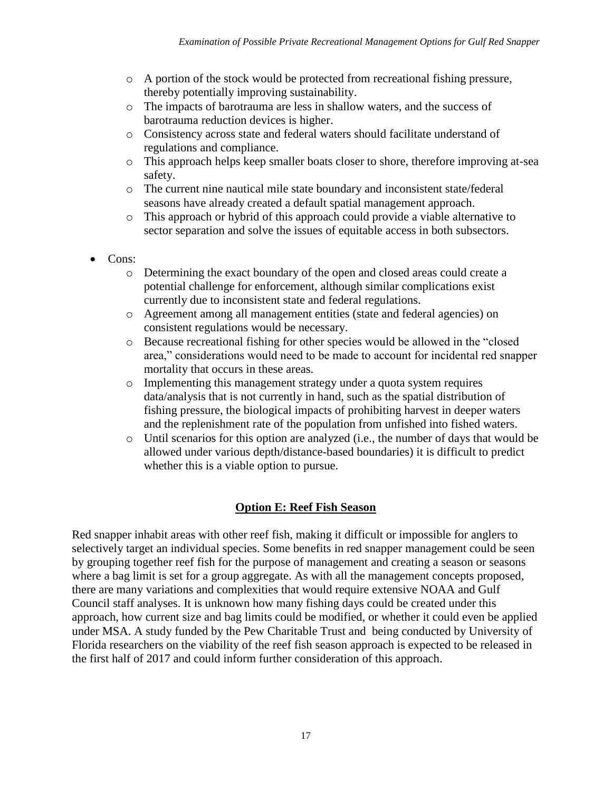- o A portion of the stock would be protected from recreational fishing pressure, thereby potentially improving sustainability.
- o The impacts of barotrauma are less in shallow waters, and the success of barotrauma reduction devices is higher.
- o Consistency across state and federal waters should facilitate understand of regulations and compliance.
- o This approach helps keep smaller boats closer to shore, therefore improving at-sea safety.
- o The current nine nautical mile state boundary and inconsistent state/federal seasons have already created a default spatial management approach.
- o This approach or hybrid of this approach could provide a viable alternative to sector separation and solve the issues of equitable access in both subsectors.
- Cons:
	- o Determining the exact boundary of the open and closed areas could create a potential challenge for enforcement, although similar complications exist currently due to inconsistent state and federal regulations.
	- o Agreement among all management entities (state and federal agencies) on consistent regulations would be necessary.
	- o Because recreational fishing for other species would be allowed in the "closed area," considerations would need to be made to account for incidental red snapper mortality that occurs in these areas.
	- o Implementing this management strategy under a quota system requires data/analysis that is not currently in hand, such as the spatial distribution of fishing pressure, the biological impacts of prohibiting harvest in deeper waters and the replenishment rate of the population from unfished into fished waters.
	- o Until scenarios for this option are analyzed (i.e., the number of days that would be allowed under various depth/distance-based boundaries) it is difficult to predict whether this is a viable option to pursue.

## **Option E: Reef Fish Season**

Red snapper inhabit areas with other reef fish, making it difficult or impossible for anglers to selectively target an individual species. Some benefits in red snapper management could be seen by grouping together reef fish for the purpose of management and creating a season or seasons where a bag limit is set for a group aggregate. As with all the management concepts proposed, there are many variations and complexities that would require extensive NOAA and Gulf Council staff analyses. It is unknown how many fishing days could be created under this approach, how current size and bag limits could be modified, or whether it could even be applied under MSA. A study funded by the Pew Charitable Trust and being conducted by University of Florida researchers on the viability of the reef fish season approach is expected to be released in the first half of 2017 and could inform further consideration of this approach.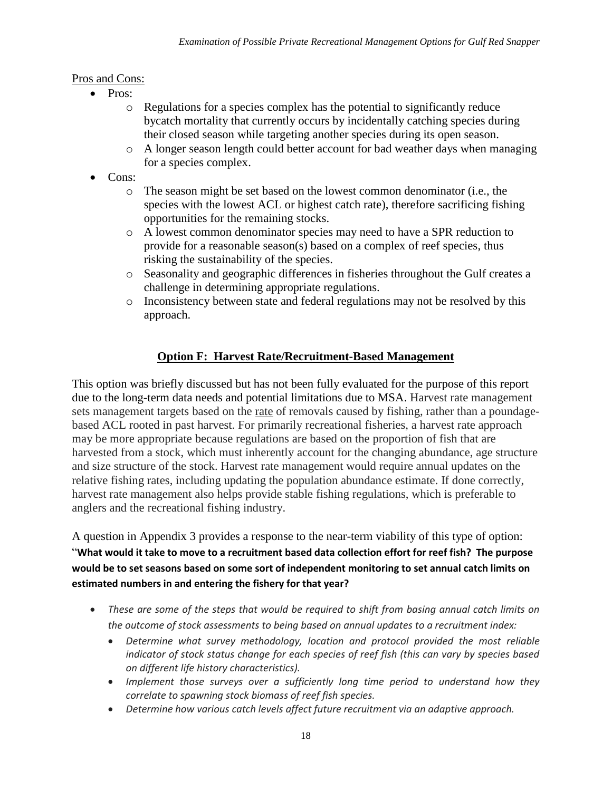## Pros and Cons:

- Pros:
	- o Regulations for a species complex has the potential to significantly reduce bycatch mortality that currently occurs by incidentally catching species during their closed season while targeting another species during its open season.
	- o A longer season length could better account for bad weather days when managing for a species complex.
- Cons:
	- o The season might be set based on the lowest common denominator (i.e., the species with the lowest ACL or highest catch rate), therefore sacrificing fishing opportunities for the remaining stocks.
	- o A lowest common denominator species may need to have a SPR reduction to provide for a reasonable season(s) based on a complex of reef species, thus risking the sustainability of the species.
	- o Seasonality and geographic differences in fisheries throughout the Gulf creates a challenge in determining appropriate regulations.
	- o Inconsistency between state and federal regulations may not be resolved by this approach.

# **Option F: Harvest Rate/Recruitment-Based Management**

This option was briefly discussed but has not been fully evaluated for the purpose of this report due to the long-term data needs and potential limitations due to MSA. Harvest rate management sets management targets based on the rate of removals caused by fishing, rather than a poundagebased ACL rooted in past harvest. For primarily recreational fisheries, a harvest rate approach may be more appropriate because regulations are based on the proportion of fish that are harvested from a stock, which must inherently account for the changing abundance, age structure and size structure of the stock. Harvest rate management would require annual updates on the relative fishing rates, including updating the population abundance estimate. If done correctly, harvest rate management also helps provide stable fishing regulations, which is preferable to anglers and the recreational fishing industry.

A question in Appendix 3 provides a response to the near-term viability of this type of option: "**What would it take to move to a recruitment based data collection effort for reef fish? The purpose would be to set seasons based on some sort of independent monitoring to set annual catch limits on estimated numbers in and entering the fishery for that year?**

- *These are some of the steps that would be required to shift from basing annual catch limits on the outcome of stock assessments to being based on annual updates to a recruitment index:*
	- *Determine what survey methodology, location and protocol provided the most reliable indicator of stock status change for each species of reef fish (this can vary by species based on different life history characteristics).*
	- Implement those surveys over a sufficiently long time period to understand how they *correlate to spawning stock biomass of reef fish species.*
	- *Determine how various catch levels affect future recruitment via an adaptive approach.*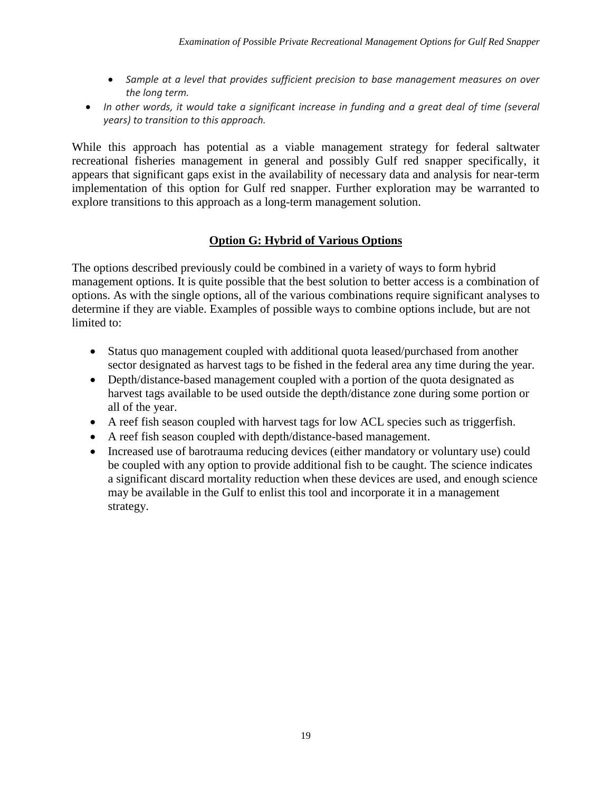- *Sample at a level that provides sufficient precision to base management measures on over the long term.*
- In other words, it would take a significant increase in funding and a great deal of time (several *years) to transition to this approach.*

While this approach has potential as a viable management strategy for federal saltwater recreational fisheries management in general and possibly Gulf red snapper specifically, it appears that significant gaps exist in the availability of necessary data and analysis for near-term implementation of this option for Gulf red snapper. Further exploration may be warranted to explore transitions to this approach as a long-term management solution.

## **Option G: Hybrid of Various Options**

The options described previously could be combined in a variety of ways to form hybrid management options. It is quite possible that the best solution to better access is a combination of options. As with the single options, all of the various combinations require significant analyses to determine if they are viable. Examples of possible ways to combine options include, but are not limited to:

- Status quo management coupled with additional quota leased/purchased from another sector designated as harvest tags to be fished in the federal area any time during the year.
- Depth/distance-based management coupled with a portion of the quota designated as harvest tags available to be used outside the depth/distance zone during some portion or all of the year.
- A reef fish season coupled with harvest tags for low ACL species such as triggerfish.
- A reef fish season coupled with depth/distance-based management.
- Increased use of barotrauma reducing devices (either mandatory or voluntary use) could be coupled with any option to provide additional fish to be caught. The science indicates a significant discard mortality reduction when these devices are used, and enough science may be available in the Gulf to enlist this tool and incorporate it in a management strategy.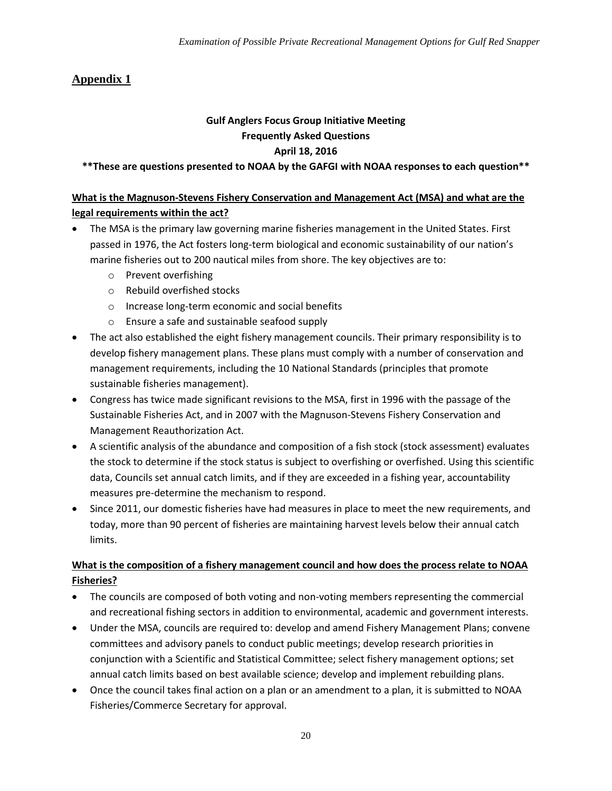# **Appendix 1**

#### **Gulf Anglers Focus Group Initiative Meeting Frequently Asked Questions April 18, 2016**

**\*\*These are questions presented to NOAA by the GAFGI with NOAA responses to each question\*\***

#### **What is the Magnuson-Stevens Fishery Conservation and Management Act (MSA) and what are the legal requirements within the act?**

- The MSA is the primary law governing marine fisheries management in the United States. First passed in 1976, the Act fosters long-term biological and economic sustainability of our nation's marine fisheries out to 200 nautical miles from shore. The key objectives are to:
	- o Prevent overfishing
	- o Rebuild overfished stocks
	- o Increase long-term economic and social benefits
	- o Ensure a safe and sustainable seafood supply
- The act also established the eight fishery management councils. Their primary responsibility is to develop fishery management plans. These plans must comply with a number of conservation and management requirements, including the 10 National Standards (principles that promote sustainable fisheries management).
- Congress has twice made significant revisions to the MSA, first in 1996 with the passage of the Sustainable Fisheries Act, and in 2007 with the Magnuson-Stevens Fishery Conservation and Management Reauthorization Act.
- A scientific analysis of the abundance and composition of a fish stock (stock assessment) evaluates the stock to determine if the stock status is subject to overfishing or overfished. Using this scientific data, Councils set annual catch limits, and if they are exceeded in a fishing year, accountability measures pre-determine the mechanism to respond.
- Since 2011, our domestic fisheries have had measures in place to meet the new requirements, and today, more than 90 percent of fisheries are maintaining harvest levels below their annual catch limits.

#### **What is the composition of a fishery management council and how does the process relate to NOAA Fisheries?**

- The councils are composed of both voting and non-voting members representing the commercial and recreational fishing sectors in addition to environmental, academic and government interests.
- Under the MSA, councils are required to: develop and amend Fishery Management Plans; convene committees and advisory panels to conduct public meetings; develop research priorities in conjunction with a Scientific and Statistical Committee; select fishery management options; set annual catch limits based on best available science; develop and implement rebuilding plans.
- Once the council takes final action on a plan or an amendment to a plan, it is submitted to NOAA Fisheries/Commerce Secretary for approval.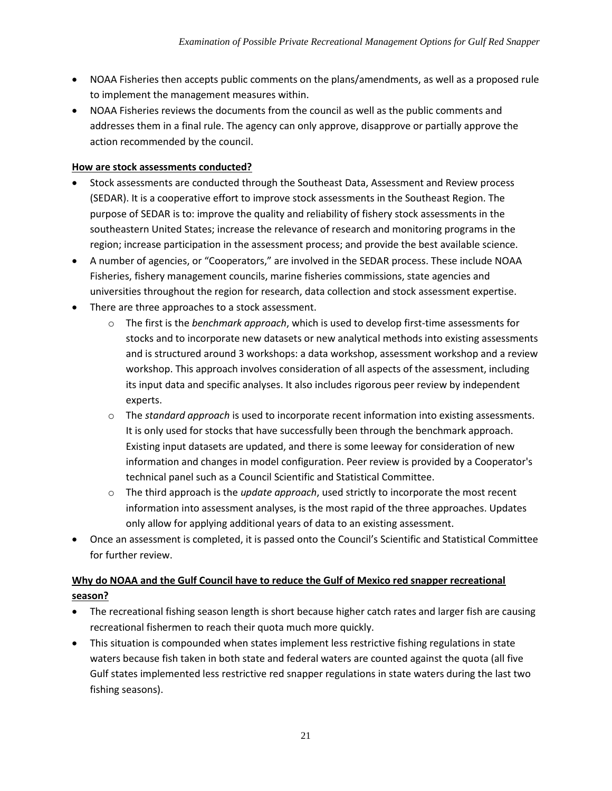- NOAA Fisheries then accepts public comments on the plans/amendments, as well as a proposed rule to implement the management measures within.
- NOAA Fisheries reviews the documents from the council as well as the public comments and addresses them in a final rule. The agency can only approve, disapprove or partially approve the action recommended by the council.

#### **How are stock assessments conducted?**

- Stock assessments are conducted through the Southeast Data, Assessment and Review process (SEDAR). It is a cooperative effort to improve stock assessments in the Southeast Region. The purpose of SEDAR is to: improve the quality and reliability of fishery stock assessments in the southeastern United States; increase the relevance of research and monitoring programs in the region; increase participation in the assessment process; and provide the best available science.
- A number of agencies, or "Cooperators," are involved in the SEDAR process. These include NOAA Fisheries, fishery management councils, marine fisheries commissions, state agencies and universities throughout the region for research, data collection and stock assessment expertise.
- There are three approaches to a stock assessment.
	- o The first is the *benchmark approach*, which is used to develop first-time assessments for stocks and to incorporate new datasets or new analytical methods into existing assessments and is structured around 3 workshops: a data workshop, assessment workshop and a review workshop. This approach involves consideration of all aspects of the assessment, including its input data and specific analyses. It also includes rigorous peer review by independent experts.
	- o The *standard approach* is used to incorporate recent information into existing assessments. It is only used for stocks that have successfully been through the benchmark approach. Existing input datasets are updated, and there is some leeway for consideration of new information and changes in model configuration. Peer review is provided by a Cooperator's technical panel such as a Council Scientific and Statistical Committee.
	- o The third approach is the *update approach*, used strictly to incorporate the most recent information into assessment analyses, is the most rapid of the three approaches. Updates only allow for applying additional years of data to an existing assessment.
- Once an assessment is completed, it is passed onto the Council's Scientific and Statistical Committee for further review.

# **Why do NOAA and the Gulf Council have to reduce the Gulf of Mexico red snapper recreational season?**

- The recreational fishing season length is short because higher catch rates and larger fish are causing recreational fishermen to reach their quota much more quickly.
- This situation is compounded when states implement less restrictive fishing regulations in state waters because fish taken in both state and federal waters are counted against the quota (all five Gulf states implemented less restrictive red snapper regulations in state waters during the last two fishing seasons).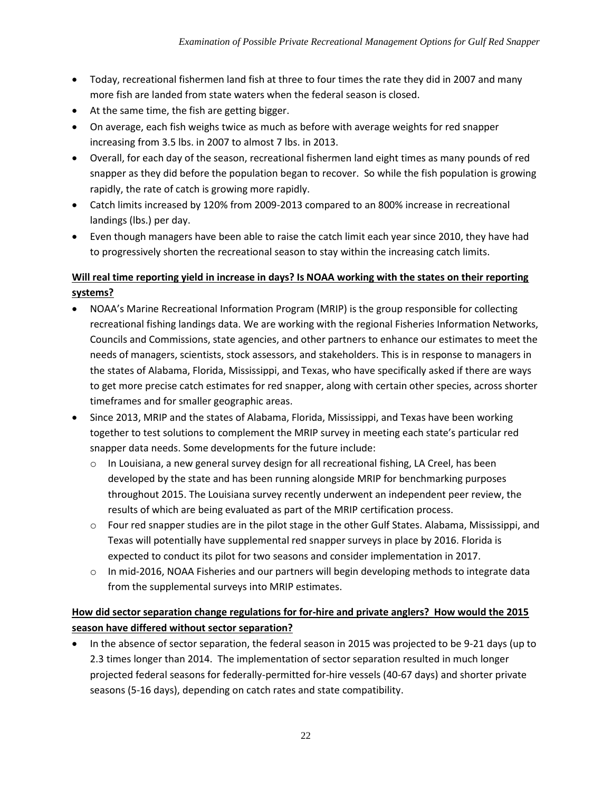- Today, recreational fishermen land fish at three to four times the rate they did in 2007 and many more fish are landed from state waters when the federal season is closed.
- At the same time, the fish are getting bigger.
- On average, each fish weighs twice as much as before with average weights for red snapper increasing from 3.5 lbs. in 2007 to almost 7 lbs. in 2013.
- Overall, for each day of the season, recreational fishermen land eight times as many pounds of red snapper as they did before the population began to recover. So while the fish population is growing rapidly, the rate of catch is growing more rapidly.
- Catch limits increased by 120% from 2009-2013 compared to an 800% increase in recreational landings (lbs.) per day.
- Even though managers have been able to raise the catch limit each year since 2010, they have had to progressively shorten the recreational season to stay within the increasing catch limits.

### **Will real time reporting yield in increase in days? Is NOAA working with the states on their reporting systems?**

- NOAA's Marine Recreational Information Program (MRIP) is the group responsible for collecting recreational fishing landings data. We are working with the regional Fisheries Information Networks, Councils and Commissions, state agencies, and other partners to enhance our estimates to meet the needs of managers, scientists, stock assessors, and stakeholders. This is in response to managers in the states of Alabama, Florida, Mississippi, and Texas, who have specifically asked if there are ways to get more precise catch estimates for red snapper, along with certain other species, across shorter timeframes and for smaller geographic areas.
- Since 2013, MRIP and the states of Alabama, Florida, Mississippi, and Texas have been working together to test solutions to complement the MRIP survey in meeting each state's particular red snapper data needs. Some developments for the future include:
	- $\circ$  In Louisiana, a new general survey design for all recreational fishing, LA Creel, has been developed by the state and has been running alongside MRIP for benchmarking purposes throughout 2015. The Louisiana survey recently underwent an independent peer review, the results of which are being evaluated as part of the MRIP certification process.
	- o Four red snapper studies are in the pilot stage in the other Gulf States. Alabama, Mississippi, and Texas will potentially have supplemental red snapper surveys in place by 2016. Florida is expected to conduct its pilot for two seasons and consider implementation in 2017.
	- $\circ$  In mid-2016, NOAA Fisheries and our partners will begin developing methods to integrate data from the supplemental surveys into MRIP estimates.

### **How did sector separation change regulations for for-hire and private anglers? How would the 2015 season have differed without sector separation?**

 In the absence of sector separation, the federal season in 2015 was projected to be 9-21 days (up to 2.3 times longer than 2014. The implementation of sector separation resulted in much longer projected federal seasons for federally-permitted for-hire vessels (40-67 days) and shorter private seasons (5-16 days), depending on catch rates and state compatibility.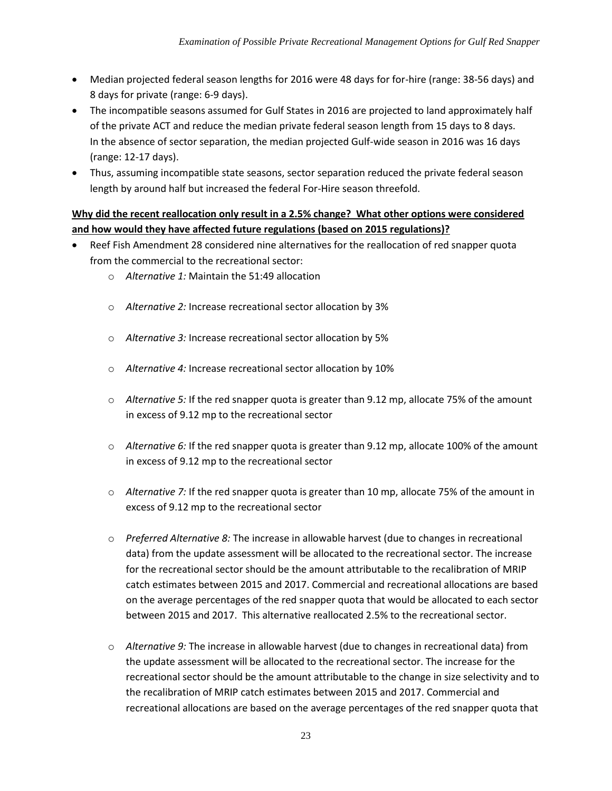- Median projected federal season lengths for 2016 were 48 days for for-hire (range: 38-56 days) and 8 days for private (range: 6-9 days).
- The incompatible seasons assumed for Gulf States in 2016 are projected to land approximately half of the private ACT and reduce the median private federal season length from 15 days to 8 days. In the absence of sector separation, the median projected Gulf-wide season in 2016 was 16 days (range: 12-17 days).
- Thus, assuming incompatible state seasons, sector separation reduced the private federal season length by around half but increased the federal For-Hire season threefold.

#### **Why did the recent reallocation only result in a 2.5% change? What other options were considered and how would they have affected future regulations (based on 2015 regulations)?**

- Reef Fish Amendment 28 considered nine alternatives for the reallocation of red snapper quota from the commercial to the recreational sector:
	- o *Alternative 1:* Maintain the 51:49 allocation
	- o *Alternative 2:* Increase recreational sector allocation by 3%
	- o *Alternative 3:* Increase recreational sector allocation by 5%
	- o *Alternative 4:* Increase recreational sector allocation by 10%
	- o *Alternative 5:* If the red snapper quota is greater than 9.12 mp, allocate 75% of the amount in excess of 9.12 mp to the recreational sector
	- o *Alternative 6:* If the red snapper quota is greater than 9.12 mp, allocate 100% of the amount in excess of 9.12 mp to the recreational sector
	- o *Alternative 7:* If the red snapper quota is greater than 10 mp, allocate 75% of the amount in excess of 9.12 mp to the recreational sector
	- o *Preferred Alternative 8:* The increase in allowable harvest (due to changes in recreational data) from the update assessment will be allocated to the recreational sector. The increase for the recreational sector should be the amount attributable to the recalibration of MRIP catch estimates between 2015 and 2017. Commercial and recreational allocations are based on the average percentages of the red snapper quota that would be allocated to each sector between 2015 and 2017. This alternative reallocated 2.5% to the recreational sector.
	- o *Alternative 9:* The increase in allowable harvest (due to changes in recreational data) from the update assessment will be allocated to the recreational sector. The increase for the recreational sector should be the amount attributable to the change in size selectivity and to the recalibration of MRIP catch estimates between 2015 and 2017. Commercial and recreational allocations are based on the average percentages of the red snapper quota that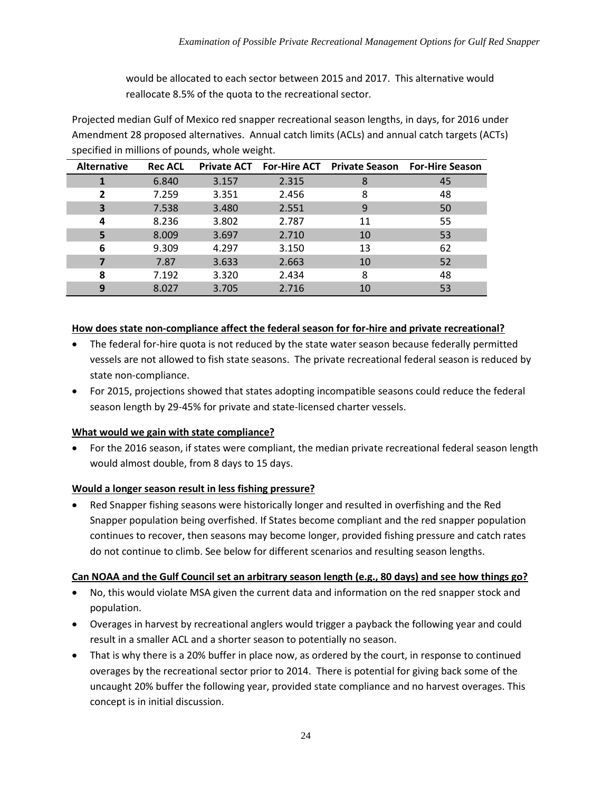would be allocated to each sector between 2015 and 2017. This alternative would reallocate 8.5% of the quota to the recreational sector.

Projected median Gulf of Mexico red snapper recreational season lengths, in days, for 2016 under Amendment 28 proposed alternatives. Annual catch limits (ACLs) and annual catch targets (ACTs) specified in millions of pounds, whole weight.

| <b>Alternative</b> | <b>Rec ACL</b> | <b>Private ACT</b> |       | <b>For-Hire ACT</b> Private Season For-Hire Season |    |  |
|--------------------|----------------|--------------------|-------|----------------------------------------------------|----|--|
|                    | 6.840          | 3.157              | 2.315 | 8                                                  | 45 |  |
| $\overline{2}$     | 7.259          | 3.351              | 2.456 | 8                                                  | 48 |  |
| 3                  | 7.538          | 3.480              | 2.551 | 9                                                  | 50 |  |
| 4                  | 8.236          | 3.802              | 2.787 | 11                                                 | 55 |  |
| 5                  | 8.009          | 3.697              | 2.710 | 10                                                 | 53 |  |
| 6                  | 9.309          | 4.297              | 3.150 | 13                                                 | 62 |  |
| 7                  | 7.87           | 3.633              | 2.663 | 10                                                 | 52 |  |
| 8                  | 7.192          | 3.320              | 2.434 | 8                                                  | 48 |  |
| 9                  | 8.027          | 3.705              | 2.716 | 10                                                 | 53 |  |

#### **How does state non-compliance affect the federal season for for-hire and private recreational?**

- The federal for-hire quota is not reduced by the state water season because federally permitted vessels are not allowed to fish state seasons. The private recreational federal season is reduced by state non-compliance.
- For 2015, projections showed that states adopting incompatible seasons could reduce the federal season length by 29-45% for private and state-licensed charter vessels.

#### **What would we gain with state compliance?**

 For the 2016 season, if states were compliant, the median private recreational federal season length would almost double, from 8 days to 15 days.

#### **Would a longer season result in less fishing pressure?**

 Red Snapper fishing seasons were historically longer and resulted in overfishing and the Red Snapper population being overfished. If States become compliant and the red snapper population continues to recover, then seasons may become longer, provided fishing pressure and catch rates do not continue to climb. See below for different scenarios and resulting season lengths.

#### **Can NOAA and the Gulf Council set an arbitrary season length (e.g., 80 days) and see how things go?**

- No, this would violate MSA given the current data and information on the red snapper stock and population.
- Overages in harvest by recreational anglers would trigger a payback the following year and could result in a smaller ACL and a shorter season to potentially no season.
- That is why there is a 20% buffer in place now, as ordered by the court, in response to continued overages by the recreational sector prior to 2014. There is potential for giving back some of the uncaught 20% buffer the following year, provided state compliance and no harvest overages. This concept is in initial discussion.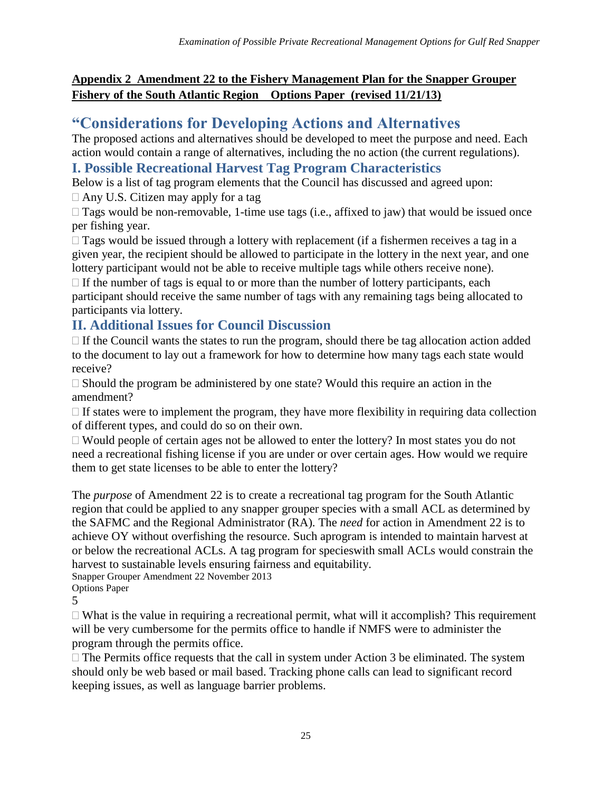# **Appendix 2 Amendment 22 to the Fishery Management Plan for the Snapper Grouper Fishery of the South Atlantic Region Options Paper (revised 11/21/13)**

# **"Considerations for Developing Actions and Alternatives**

The proposed actions and alternatives should be developed to meet the purpose and need. Each action would contain a range of alternatives, including the no action (the current regulations).

# **I. Possible Recreational Harvest Tag Program Characteristics**

Below is a list of tag program elements that the Council has discussed and agreed upon:

 $\Box$  Any U.S. Citizen may apply for a tag

 $\Box$  Tags would be non-removable, 1-time use tags (i.e., affixed to jaw) that would be issued once per fishing year.

 $\Box$  Tags would be issued through a lottery with replacement (if a fishermen receives a tag in a given year, the recipient should be allowed to participate in the lottery in the next year, and one lottery participant would not be able to receive multiple tags while others receive none).

 $\Box$  If the number of tags is equal to or more than the number of lottery participants, each participant should receive the same number of tags with any remaining tags being allocated to participants via lottery.

# **II. Additional Issues for Council Discussion**

 $\Box$  If the Council wants the states to run the program, should there be tag allocation action added to the document to lay out a framework for how to determine how many tags each state would receive?

 $\Box$  Should the program be administered by one state? Would this require an action in the amendment?

 $\Box$  If states were to implement the program, they have more flexibility in requiring data collection of different types, and could do so on their own.

 $\Box$  Would people of certain ages not be allowed to enter the lottery? In most states you do not need a recreational fishing license if you are under or over certain ages. How would we require them to get state licenses to be able to enter the lottery?

The *purpose* of Amendment 22 is to create a recreational tag program for the South Atlantic region that could be applied to any snapper grouper species with a small ACL as determined by the SAFMC and the Regional Administrator (RA). The *need* for action in Amendment 22 is to achieve OY without overfishing the resource. Such aprogram is intended to maintain harvest at or below the recreational ACLs. A tag program for specieswith small ACLs would constrain the harvest to sustainable levels ensuring fairness and equitability.

Snapper Grouper Amendment 22 November 2013

Options Paper

5

 $\Box$  What is the value in requiring a recreational permit, what will it accomplish? This requirement will be very cumbersome for the permits office to handle if NMFS were to administer the program through the permits office.

 $\Box$  The Permits office requests that the call in system under Action 3 be eliminated. The system should only be web based or mail based. Tracking phone calls can lead to significant record keeping issues, as well as language barrier problems.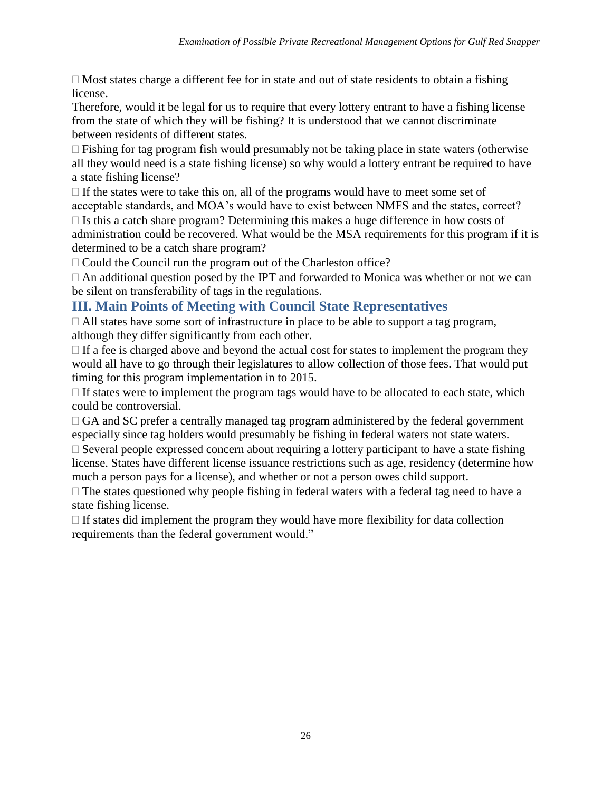$\Box$  Most states charge a different fee for in state and out of state residents to obtain a fishing license.

Therefore, would it be legal for us to require that every lottery entrant to have a fishing license from the state of which they will be fishing? It is understood that we cannot discriminate between residents of different states.

 $\Box$  Fishing for tag program fish would presumably not be taking place in state waters (otherwise all they would need is a state fishing license) so why would a lottery entrant be required to have a state fishing license?

 $\Box$  If the states were to take this on, all of the programs would have to meet some set of acceptable standards, and MOA's would have to exist between NMFS and the states, correct?  $\Box$  Is this a catch share program? Determining this makes a huge difference in how costs of administration could be recovered. What would be the MSA requirements for this program if it is determined to be a catch share program?

 $\Box$  Could the Council run the program out of the Charleston office?

 $\Box$  An additional question posed by the IPT and forwarded to Monica was whether or not we can be silent on transferability of tags in the regulations.

# **III. Main Points of Meeting with Council State Representatives**

 $\Box$  All states have some sort of infrastructure in place to be able to support a tag program, although they differ significantly from each other.

 $\Box$  If a fee is charged above and beyond the actual cost for states to implement the program they would all have to go through their legislatures to allow collection of those fees. That would put timing for this program implementation in to 2015.

 $\Box$  If states were to implement the program tags would have to be allocated to each state, which could be controversial.

 $\Box$  GA and SC prefer a centrally managed tag program administered by the federal government especially since tag holders would presumably be fishing in federal waters not state waters.

 $\Box$  Several people expressed concern about requiring a lottery participant to have a state fishing license. States have different license issuance restrictions such as age, residency (determine how much a person pays for a license), and whether or not a person owes child support.

 $\Box$  The states questioned why people fishing in federal waters with a federal tag need to have a state fishing license.

 $\Box$  If states did implement the program they would have more flexibility for data collection requirements than the federal government would."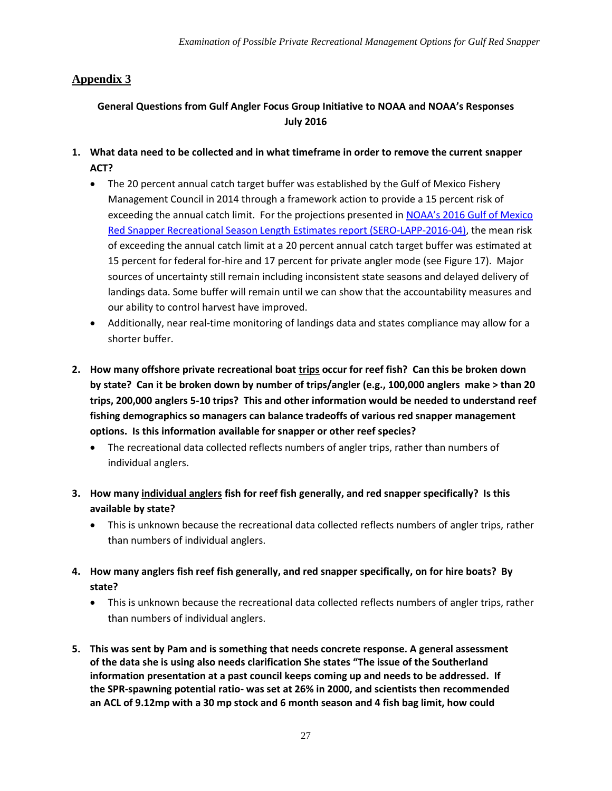# **Appendix 3**

#### **General Questions from Gulf Angler Focus Group Initiative to NOAA and NOAA's Responses July 2016**

- **1. What data need to be collected and in what timeframe in order to remove the current snapper ACT?**
	- The 20 percent annual catch target buffer was established by the Gulf of Mexico Fishery Management Council in 2014 through a framework action to provide a 15 percent risk of exceeding the annual catch limit. For the projections presented in [NOAA's 2016 Gulf of Mexico](http://sero.nmfs.noaa.gov/sustainable_fisheries/lapp_dm/documents/pdfs/2016/rs_2016_rec_quota_projection.pdf)  [Red Snapper Recreational Season Length Estimates report \(SERO-LAPP-2016-04\),](http://sero.nmfs.noaa.gov/sustainable_fisheries/lapp_dm/documents/pdfs/2016/rs_2016_rec_quota_projection.pdf) the mean risk of exceeding the annual catch limit at a 20 percent annual catch target buffer was estimated at 15 percent for federal for-hire and 17 percent for private angler mode (see Figure 17). Major sources of uncertainty still remain including inconsistent state seasons and delayed delivery of landings data. Some buffer will remain until we can show that the accountability measures and our ability to control harvest have improved.
	- Additionally, near real-time monitoring of landings data and states compliance may allow for a shorter buffer.
- **2. How many offshore private recreational boat trips occur for reef fish? Can this be broken down by state? Can it be broken down by number of trips/angler (e.g., 100,000 anglers make > than 20 trips, 200,000 anglers 5-10 trips? This and other information would be needed to understand reef fishing demographics so managers can balance tradeoffs of various red snapper management options. Is this information available for snapper or other reef species?**
	- The recreational data collected reflects numbers of angler trips, rather than numbers of individual anglers.
- **3. How many individual anglers fish for reef fish generally, and red snapper specifically? Is this available by state?** 
	- This is unknown because the recreational data collected reflects numbers of angler trips, rather than numbers of individual anglers.
- **4. How many anglers fish reef fish generally, and red snapper specifically, on for hire boats? By state?** 
	- This is unknown because the recreational data collected reflects numbers of angler trips, rather than numbers of individual anglers.
- **5. This was sent by Pam and is something that needs concrete response. A general assessment of the data she is using also needs clarification She states "The issue of the Southerland information presentation at a past council keeps coming up and needs to be addressed. If the SPR-spawning potential ratio- was set at 26% in 2000, and scientists then recommended an ACL of 9.12mp with a 30 mp stock and 6 month season and 4 fish bag limit, how could**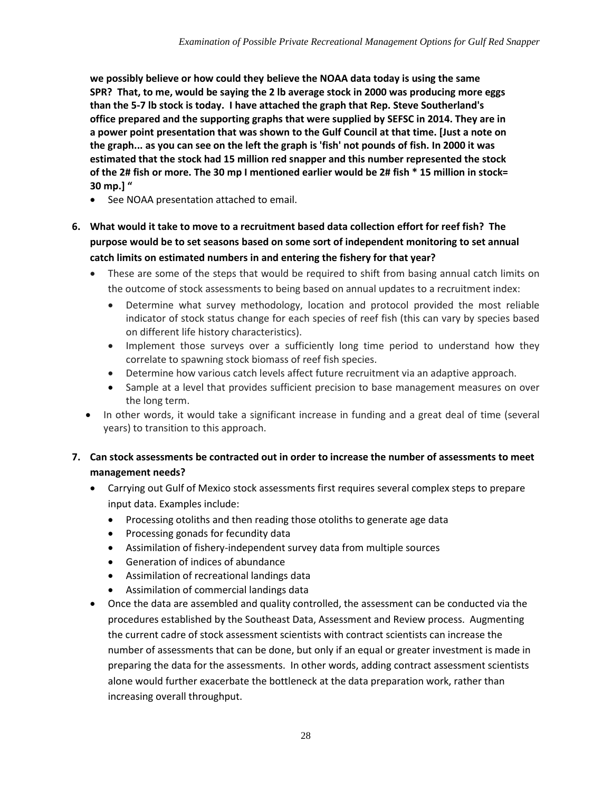**we possibly believe or how could they believe the NOAA data today is using the same SPR? That, to me, would be saying the 2 lb average stock in 2000 was producing more eggs than the 5-7 lb stock is today. I have attached the graph that Rep. Steve Southerland's office prepared and the supporting graphs that were supplied by SEFSC in 2014. They are in a power point presentation that was shown to the Gulf Council at that time. [Just a note on the graph... as you can see on the left the graph is 'fish' not pounds of fish. In 2000 it was estimated that the stock had 15 million red snapper and this number represented the stock of the 2# fish or more. The 30 mp I mentioned earlier would be 2# fish \* 15 million in stock= 30 mp.] "**

- See NOAA presentation attached to email.
- **6. What would it take to move to a recruitment based data collection effort for reef fish? The purpose would be to set seasons based on some sort of independent monitoring to set annual catch limits on estimated numbers in and entering the fishery for that year?**
	- These are some of the steps that would be required to shift from basing annual catch limits on the outcome of stock assessments to being based on annual updates to a recruitment index:
		- Determine what survey methodology, location and protocol provided the most reliable indicator of stock status change for each species of reef fish (this can vary by species based on different life history characteristics).
		- Implement those surveys over a sufficiently long time period to understand how they correlate to spawning stock biomass of reef fish species.
		- Determine how various catch levels affect future recruitment via an adaptive approach.
		- Sample at a level that provides sufficient precision to base management measures on over the long term.
	- In other words, it would take a significant increase in funding and a great deal of time (several years) to transition to this approach.

#### **7. Can stock assessments be contracted out in order to increase the number of assessments to meet management needs?**

- Carrying out Gulf of Mexico stock assessments first requires several complex steps to prepare input data. Examples include:
	- Processing otoliths and then reading those otoliths to generate age data
	- Processing gonads for fecundity data
	- Assimilation of fishery-independent survey data from multiple sources
	- Generation of indices of abundance
	- Assimilation of recreational landings data
	- Assimilation of commercial landings data
- Once the data are assembled and quality controlled, the assessment can be conducted via the procedures established by the Southeast Data, Assessment and Review process. Augmenting the current cadre of stock assessment scientists with contract scientists can increase the number of assessments that can be done, but only if an equal or greater investment is made in preparing the data for the assessments. In other words, adding contract assessment scientists alone would further exacerbate the bottleneck at the data preparation work, rather than increasing overall throughput.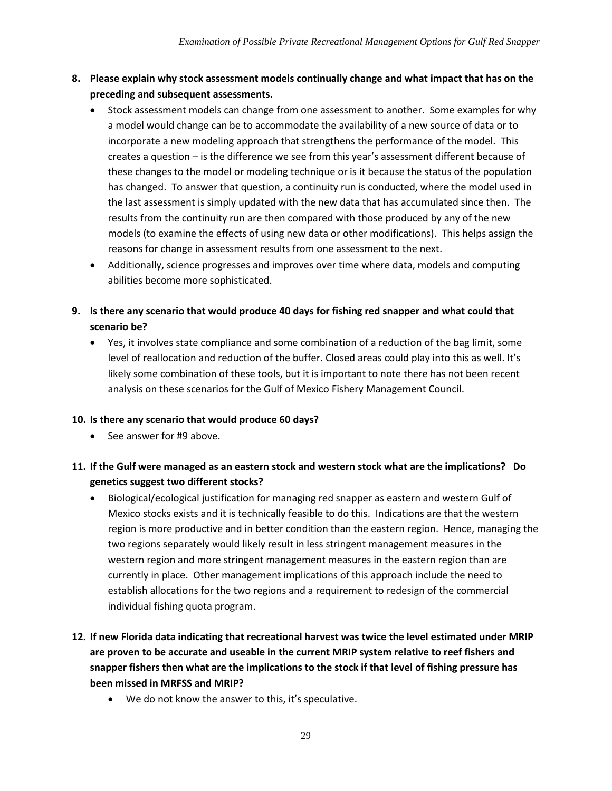- **8. Please explain why stock assessment models continually change and what impact that has on the preceding and subsequent assessments.** 
	- Stock assessment models can change from one assessment to another. Some examples for why a model would change can be to accommodate the availability of a new source of data or to incorporate a new modeling approach that strengthens the performance of the model. This creates a question – is the difference we see from this year's assessment different because of these changes to the model or modeling technique or is it because the status of the population has changed. To answer that question, a continuity run is conducted, where the model used in the last assessment is simply updated with the new data that has accumulated since then. The results from the continuity run are then compared with those produced by any of the new models (to examine the effects of using new data or other modifications). This helps assign the reasons for change in assessment results from one assessment to the next.
	- Additionally, science progresses and improves over time where data, models and computing abilities become more sophisticated.
- **9. Is there any scenario that would produce 40 days for fishing red snapper and what could that scenario be?**
	- Yes, it involves state compliance and some combination of a reduction of the bag limit, some level of reallocation and reduction of the buffer. Closed areas could play into this as well. It's likely some combination of these tools, but it is important to note there has not been recent analysis on these scenarios for the Gulf of Mexico Fishery Management Council.

#### **10. Is there any scenario that would produce 60 days?**

• See answer for #9 above.

#### **11. If the Gulf were managed as an eastern stock and western stock what are the implications? Do genetics suggest two different stocks?**

- Biological/ecological justification for managing red snapper as eastern and western Gulf of Mexico stocks exists and it is technically feasible to do this. Indications are that the western region is more productive and in better condition than the eastern region. Hence, managing the two regions separately would likely result in less stringent management measures in the western region and more stringent management measures in the eastern region than are currently in place. Other management implications of this approach include the need to establish allocations for the two regions and a requirement to redesign of the commercial individual fishing quota program.
- **12. If new Florida data indicating that recreational harvest was twice the level estimated under MRIP are proven to be accurate and useable in the current MRIP system relative to reef fishers and snapper fishers then what are the implications to the stock if that level of fishing pressure has been missed in MRFSS and MRIP?**
	- We do not know the answer to this, it's speculative.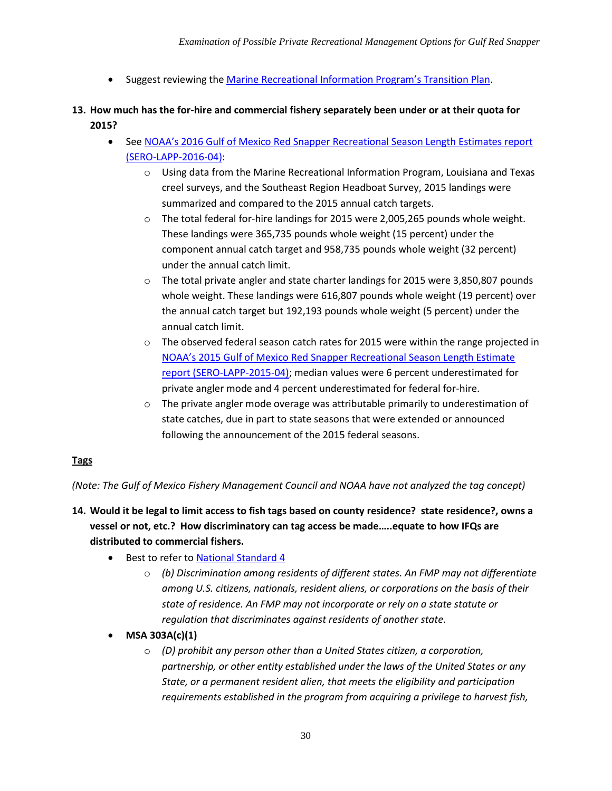- Suggest reviewing the [Marine Recreational Information Program's Transition Plan](https://www.st.nmfs.noaa.gov/Assets/recreational/pdf/MRIP%20FES%20Transition%20Plan%20FINAL.pdf).
- **13. How much has the for-hire and commercial fishery separately been under or at their quota for 2015?**
	- See NOAA's 2016 Gulf of Mexico Red Snapper Recreational Season Length Estimates report [\(SERO-LAPP-2016-04\):](http://sero.nmfs.noaa.gov/sustainable_fisheries/lapp_dm/documents/pdfs/2016/rs_2016_rec_quota_projection.pdf)
		- o Using data from the Marine Recreational Information Program, Louisiana and Texas creel surveys, and the Southeast Region Headboat Survey, 2015 landings were summarized and compared to the 2015 annual catch targets.
		- $\circ$  The total federal for-hire landings for 2015 were 2,005,265 pounds whole weight. These landings were 365,735 pounds whole weight (15 percent) under the component annual catch target and 958,735 pounds whole weight (32 percent) under the annual catch limit.
		- $\circ$  The total private angler and state charter landings for 2015 were 3,850,807 pounds whole weight. These landings were 616,807 pounds whole weight (19 percent) over the annual catch target but 192,193 pounds whole weight (5 percent) under the annual catch limit.
		- $\circ$  The observed federal season catch rates for 2015 were within the range projected in [NOAA's 2015 Gulf of Mexico Red Snapper Recreational Season](http://sero.nmfs.noaa.gov/sustainable_fisheries/lapp_dm/documents/pdfs/2015/rs_2015_rec_quota_projection.pdf) Length Estimate [report \(SERO-LAPP-2015-04\);](http://sero.nmfs.noaa.gov/sustainable_fisheries/lapp_dm/documents/pdfs/2015/rs_2015_rec_quota_projection.pdf) median values were 6 percent underestimated for private angler mode and 4 percent underestimated for federal for-hire.
		- $\circ$  The private angler mode overage was attributable primarily to underestimation of state catches, due in part to state seasons that were extended or announced following the announcement of the 2015 federal seasons.

#### **Tags**

*(Note: The Gulf of Mexico Fishery Management Council and NOAA have not analyzed the tag concept)*

- **14. Would it be legal to limit access to fish tags based on county residence? state residence?, owns a vessel or not, etc.? How discriminatory can tag access be made…..equate to how IFQs are distributed to commercial fishers.**
	- Best to refer to [National Standard 4](http://www.fisheries.noaa.gov/sfa/laws_policies/national_standards/documents/national_standard_4_cfr.pdf)
		- o *(b) Discrimination among residents of different states. An FMP may not differentiate among U.S. citizens, nationals, resident aliens, or corporations on the basis of their state of residence. An FMP may not incorporate or rely on a state statute or regulation that discriminates against residents of another state.*
	- **MSA 303A(c)(1)**
		- o *(D) prohibit any person other than a United States citizen, a corporation, partnership, or other entity established under the laws of the United States or any State, or a permanent resident alien, that meets the eligibility and participation requirements established in the program from acquiring a privilege to harvest fish,*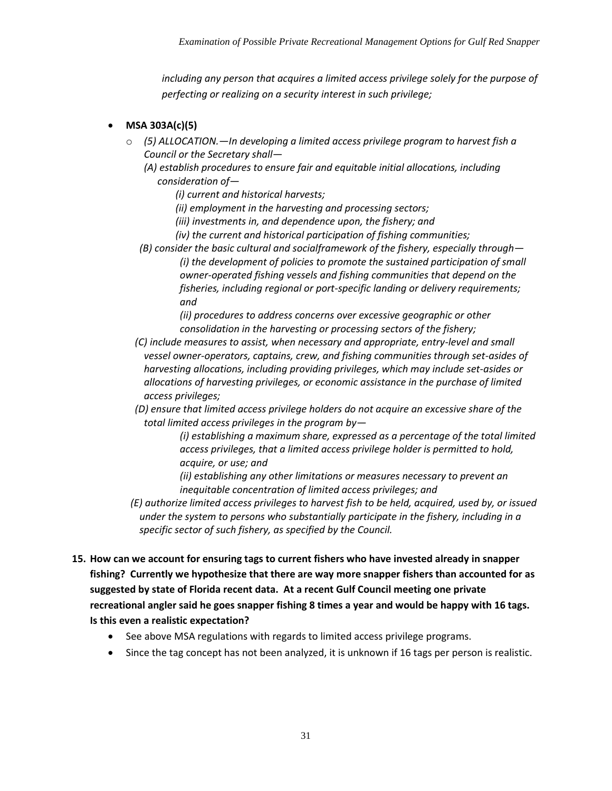*including any person that acquires a limited access privilege solely for the purpose of perfecting or realizing on a security interest in such privilege;* 

- **MSA 303A(c)(5)**
	- o *(5) ALLOCATION.—In developing a limited access privilege program to harvest fish a Council or the Secretary shall—*

*(A) establish procedures to ensure fair and equitable initial allocations, including consideration of—*

*(i) current and historical harvests;* 

*(ii) employment in the harvesting and processing sectors;* 

*(iii) investments in, and dependence upon, the fishery; and* 

*(iv) the current and historical participation of fishing communities;* 

*(B) consider the basic cultural and socialframework of the fishery, especially through— (i) the development of policies to promote the sustained participation of small owner-operated fishing vessels and fishing communities that depend on the fisheries, including regional or port-specific landing or delivery requirements; and* 

*(ii) procedures to address concerns over excessive geographic or other consolidation in the harvesting or processing sectors of the fishery;* 

*(C) include measures to assist, when necessary and appropriate, entry-level and small vessel owner-operators, captains, crew, and fishing communities through set-asides of harvesting allocations, including providing privileges, which may include set-asides or allocations of harvesting privileges, or economic assistance in the purchase of limited access privileges;* 

*(D) ensure that limited access privilege holders do not acquire an excessive share of the total limited access privileges in the program by—*

> *(i) establishing a maximum share, expressed as a percentage of the total limited access privileges, that a limited access privilege holder is permitted to hold, acquire, or use; and*

*(ii) establishing any other limitations or measures necessary to prevent an inequitable concentration of limited access privileges; and* 

*(E) authorize limited access privileges to harvest fish to be held, acquired, used by, or issued under the system to persons who substantially participate in the fishery, including in a specific sector of such fishery, as specified by the Council.* 

- **15. How can we account for ensuring tags to current fishers who have invested already in snapper fishing? Currently we hypothesize that there are way more snapper fishers than accounted for as suggested by state of Florida recent data. At a recent Gulf Council meeting one private recreational angler said he goes snapper fishing 8 times a year and would be happy with 16 tags. Is this even a realistic expectation?**
	- See above MSA regulations with regards to limited access privilege programs.
	- Since the tag concept has not been analyzed, it is unknown if 16 tags per person is realistic.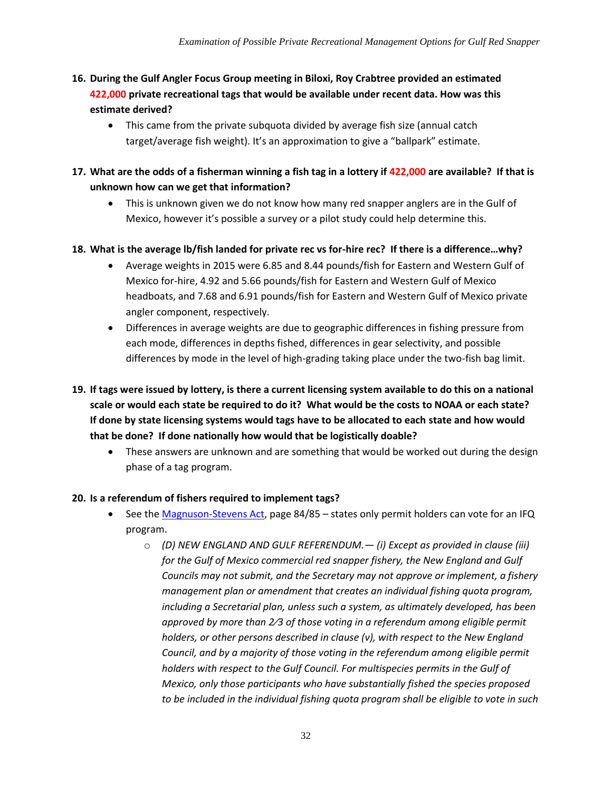- **16. During the Gulf Angler Focus Group meeting in Biloxi, Roy Crabtree provided an estimated 422,000 private recreational tags that would be available under recent data. How was this estimate derived?** 
	- This came from the private subquota divided by average fish size (annual catch target/average fish weight). It's an approximation to give a "ballpark" estimate.
- **17. What are the odds of a fisherman winning a fish tag in a lottery if 422,000 are available? If that is unknown how can we get that information?** 
	- This is unknown given we do not know how many red snapper anglers are in the Gulf of Mexico, however it's possible a survey or a pilot study could help determine this.
- **18. What is the average lb/fish landed for private rec vs for-hire rec? If there is a difference…why?**
	- Average weights in 2015 were 6.85 and 8.44 pounds/fish for Eastern and Western Gulf of Mexico for-hire, 4.92 and 5.66 pounds/fish for Eastern and Western Gulf of Mexico headboats, and 7.68 and 6.91 pounds/fish for Eastern and Western Gulf of Mexico private angler component, respectively.
	- Differences in average weights are due to geographic differences in fishing pressure from each mode, differences in depths fished, differences in gear selectivity, and possible differences by mode in the level of high-grading taking place under the two-fish bag limit.
- **19. If tags were issued by lottery, is there a current licensing system available to do this on a national scale or would each state be required to do it? What would be the costs to NOAA or each state? If done by state licensing systems would tags have to be allocated to each state and how would that be done? If done nationally how would that be logistically doable?**
	- These answers are unknown and are something that would be worked out during the design phase of a tag program.

#### **20. Is a referendum of fishers required to implement tags?**

- See the [Magnuson-Stevens Act,](http://www.fisheries.noaa.gov/sfa/laws_policies/msa/documents/msa_amended_2007.pdf) page 84/85 states only permit holders can vote for an IFQ program.
	- o *(D) NEW ENGLAND AND GULF REFERENDUM.— (i) Except as provided in clause (iii) for the Gulf of Mexico commercial red snapper fishery, the New England and Gulf Councils may not submit, and the Secretary may not approve or implement, a fishery management plan or amendment that creates an individual fishing quota program, including a Secretarial plan, unless such a system, as ultimately developed, has been approved by more than 2⁄3 of those voting in a referendum among eligible permit holders, or other persons described in clause (v), with respect to the New England Council, and by a majority of those voting in the referendum among eligible permit holders with respect to the Gulf Council. For multispecies permits in the Gulf of Mexico, only those participants who have substantially fished the species proposed to be included in the individual fishing quota program shall be eligible to vote in such*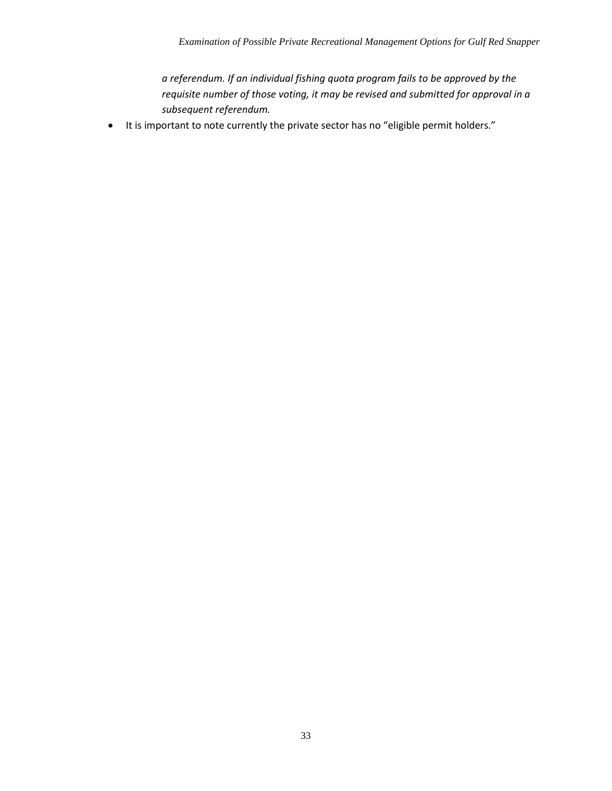*a referendum. If an individual fishing quota program fails to be approved by the requisite number of those voting, it may be revised and submitted for approval in a subsequent referendum.*

• It is important to note currently the private sector has no "eligible permit holders."